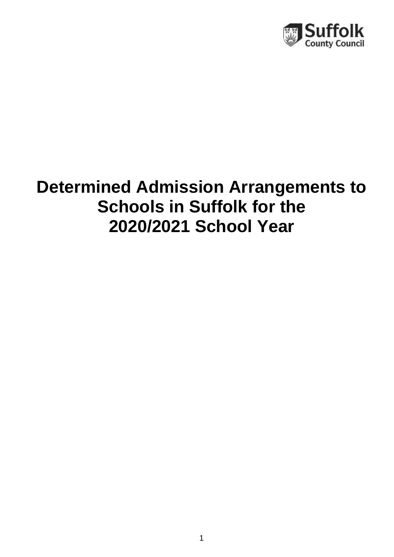

# **Determined Admission Arrangements to Schools in Suffolk for the 2020/2021 School Year**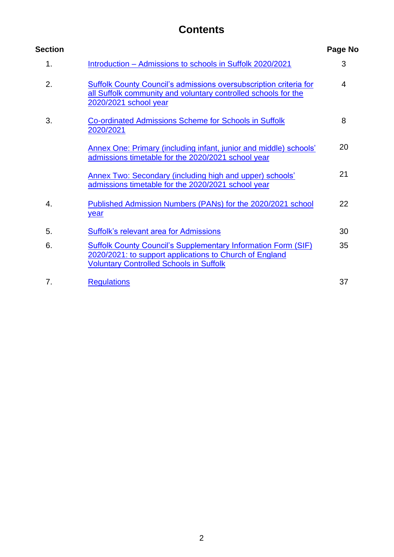# **Contents**

| <b>Section</b> |                                                                                                                                                                                   | Page No |
|----------------|-----------------------------------------------------------------------------------------------------------------------------------------------------------------------------------|---------|
| 1.             | Introduction - Admissions to schools in Suffolk 2020/2021                                                                                                                         | 3       |
| 2.             | Suffolk County Council's admissions oversubscription criteria for<br>all Suffolk community and voluntary controlled schools for the<br>2020/2021 school year                      | 4       |
| 3.             | <b>Co-ordinated Admissions Scheme for Schools in Suffolk</b><br>2020/2021                                                                                                         | 8       |
|                | Annex One: Primary (including infant, junior and middle) schools'<br>admissions timetable for the 2020/2021 school year                                                           | 20      |
|                | <b>Annex Two: Secondary (including high and upper) schools'</b><br>admissions timetable for the 2020/2021 school year                                                             | 21      |
| 4.             | Published Admission Numbers (PANs) for the 2020/2021 school<br>year                                                                                                               | 22      |
| 5.             | <b>Suffolk's relevant area for Admissions</b>                                                                                                                                     | 30      |
| 6.             | <b>Suffolk County Council's Supplementary Information Form (SIF)</b><br>2020/2021: to support applications to Church of England<br><b>Voluntary Controlled Schools in Suffolk</b> | 35      |
| 7.             | <b>Regulations</b>                                                                                                                                                                | 37      |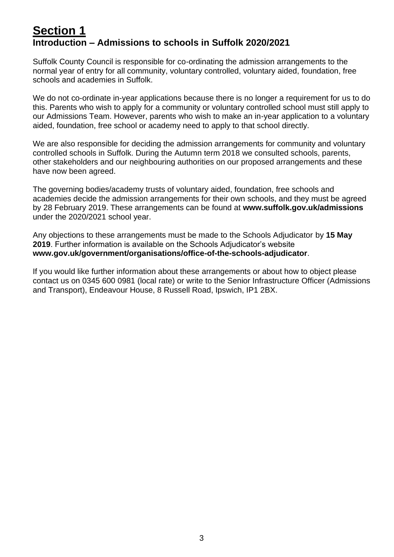# <span id="page-2-0"></span>**Section 1 Introduction – Admissions to schools in Suffolk 2020/2021**

Suffolk County Council is responsible for co-ordinating the admission arrangements to the normal year of entry for all community, voluntary controlled, voluntary aided, foundation, free schools and academies in Suffolk.

We do not co-ordinate in-year applications because there is no longer a requirement for us to do this. Parents who wish to apply for a community or voluntary controlled school must still apply to our Admissions Team. However, parents who wish to make an in-year application to a voluntary aided, foundation, free school or academy need to apply to that school directly.

We are also responsible for deciding the admission arrangements for community and voluntary controlled schools in Suffolk. During the Autumn term 2018 we consulted schools, parents, other stakeholders and our neighbouring authorities on our proposed arrangements and these have now been agreed.

The governing bodies/academy trusts of voluntary aided, foundation, free schools and academies decide the admission arrangements for their own schools, and they must be agreed by 28 February 2019. These arrangements can be found at **www.suffolk.gov.uk/admissions**  under the 2020/2021 school year.

Any objections to these arrangements must be made to the Schools Adjudicator by **15 May 2019**. Further information is available on the Schools Adjudicator's website **www.gov.uk/government/organisations/office-of-the-schools-adjudicator**.

If you would like further information about these arrangements or about how to object please contact us on 0345 600 0981 (local rate) or write to the Senior Infrastructure Officer (Admissions and Transport), Endeavour House, 8 Russell Road, Ipswich, IP1 2BX.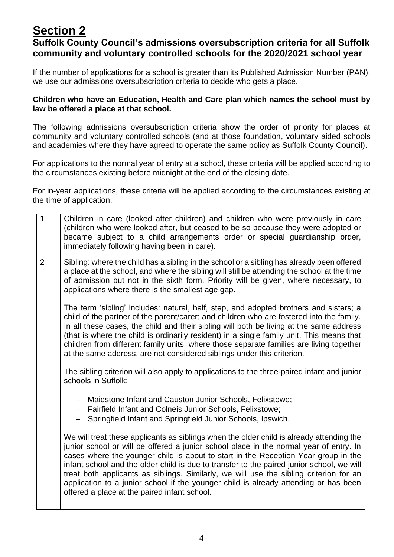# <span id="page-3-0"></span>**Section 2**

# **Suffolk County Council's admissions oversubscription criteria for all Suffolk community and voluntary controlled schools for the 2020/2021 school year**

If the number of applications for a school is greater than its Published Admission Number (PAN), we use our admissions oversubscription criteria to decide who gets a place.

### **Children who have an Education, Health and Care plan which names the school must by law be offered a place at that school.**

The following admissions oversubscription criteria show the order of priority for places at community and voluntary controlled schools (and at those foundation, voluntary aided schools and academies where they have agreed to operate the same policy as Suffolk County Council).

For applications to the normal year of entry at a school, these criteria will be applied according to the circumstances existing before midnight at the end of the closing date.

For in-year applications, these criteria will be applied according to the circumstances existing at the time of application.

| $\overline{1}$ | Children in care (looked after children) and children who were previously in care<br>(children who were looked after, but ceased to be so because they were adopted or<br>became subject to a child arrangements order or special guardianship order,<br>immediately following having been in care).                                                                                                                                                                                                                                                                                                    |
|----------------|---------------------------------------------------------------------------------------------------------------------------------------------------------------------------------------------------------------------------------------------------------------------------------------------------------------------------------------------------------------------------------------------------------------------------------------------------------------------------------------------------------------------------------------------------------------------------------------------------------|
| 2              | Sibling: where the child has a sibling in the school or a sibling has already been offered<br>a place at the school, and where the sibling will still be attending the school at the time<br>of admission but not in the sixth form. Priority will be given, where necessary, to<br>applications where there is the smallest age gap.                                                                                                                                                                                                                                                                   |
|                | The term 'sibling' includes: natural, half, step, and adopted brothers and sisters; a<br>child of the partner of the parent/carer; and children who are fostered into the family.<br>In all these cases, the child and their sibling will both be living at the same address<br>(that is where the child is ordinarily resident) in a single family unit. This means that<br>children from different family units, where those separate families are living together<br>at the same address, are not considered siblings under this criterion.                                                          |
|                | The sibling criterion will also apply to applications to the three-paired infant and junior<br>schools in Suffolk:                                                                                                                                                                                                                                                                                                                                                                                                                                                                                      |
|                | Maidstone Infant and Causton Junior Schools, Felixstowe;<br>$\overline{\phantom{0}}$<br>Fairfield Infant and Colneis Junior Schools, Felixstowe;<br>$\frac{1}{2}$<br>Springfield Infant and Springfield Junior Schools, Ipswich.                                                                                                                                                                                                                                                                                                                                                                        |
|                | We will treat these applicants as siblings when the older child is already attending the<br>junior school or will be offered a junior school place in the normal year of entry. In<br>cases where the younger child is about to start in the Reception Year group in the<br>infant school and the older child is due to transfer to the paired junior school, we will<br>treat both applicants as siblings. Similarly, we will use the sibling criterion for an<br>application to a junior school if the younger child is already attending or has been<br>offered a place at the paired infant school. |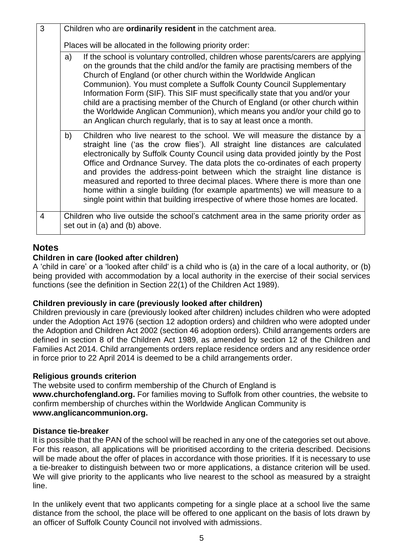| 3              | Children who are <b>ordinarily resident</b> in the catchment area.                                                                                                                                                                                                                                                                                                                                                                                                                                                                                                                                                                                                      |  |
|----------------|-------------------------------------------------------------------------------------------------------------------------------------------------------------------------------------------------------------------------------------------------------------------------------------------------------------------------------------------------------------------------------------------------------------------------------------------------------------------------------------------------------------------------------------------------------------------------------------------------------------------------------------------------------------------------|--|
|                | Places will be allocated in the following priority order:                                                                                                                                                                                                                                                                                                                                                                                                                                                                                                                                                                                                               |  |
|                | If the school is voluntary controlled, children whose parents/carers are applying<br>a)<br>on the grounds that the child and/or the family are practising members of the<br>Church of England (or other church within the Worldwide Anglican<br>Communion). You must complete a Suffolk County Council Supplementary<br>Information Form (SIF). This SIF must specifically state that you and/or your<br>child are a practising member of the Church of England (or other church within<br>the Worldwide Anglican Communion), which means you and/or your child go to<br>an Anglican church regularly, that is to say at least once a month.                            |  |
|                | b)<br>Children who live nearest to the school. We will measure the distance by a<br>straight line ('as the crow flies'). All straight line distances are calculated<br>electronically by Suffolk County Council using data provided jointly by the Post<br>Office and Ordnance Survey. The data plots the co-ordinates of each property<br>and provides the address-point between which the straight line distance is<br>measured and reported to three decimal places. Where there is more than one<br>home within a single building (for example apartments) we will measure to a<br>single point within that building irrespective of where those homes are located. |  |
| $\overline{4}$ | Children who live outside the school's catchment area in the same priority order as<br>set out in (a) and (b) above.                                                                                                                                                                                                                                                                                                                                                                                                                                                                                                                                                    |  |

# **Notes**

### **Children in care (looked after children)**

A 'child in care' or a 'looked after child' is a child who is (a) in the care of a local authority, or (b) being provided with accommodation by a local authority in the exercise of their social services functions (see the definition in Section 22(1) of the Children Act 1989).

### **Children previously in care (previously looked after children)**

Children previously in care (previously looked after children) includes children who were adopted under the Adoption Act 1976 (section 12 adoption orders) and children who were adopted under the Adoption and Children Act 2002 (section 46 adoption orders). Child arrangements orders are defined in section 8 of the Children Act 1989, as amended by section 12 of the Children and Families Act 2014. Child arrangements orders replace residence orders and any residence order in force prior to 22 April 2014 is deemed to be a child arrangements order.

### **Religious grounds criterion**

The website used to confirm membership of the Church of England is **www.churchofengland.org.** For families moving to Suffolk from other countries, the website to confirm membership of churches within the Worldwide Anglican Community is **www.anglicancommunion.org.** 

### **Distance tie-breaker**

It is possible that the PAN of the school will be reached in any one of the categories set out above. For this reason, all applications will be prioritised according to the criteria described. Decisions will be made about the offer of places in accordance with those priorities. If it is necessary to use a tie-breaker to distinguish between two or more applications, a distance criterion will be used. We will give priority to the applicants who live nearest to the school as measured by a straight line.

In the unlikely event that two applicants competing for a single place at a school live the same distance from the school, the place will be offered to one applicant on the basis of lots drawn by an officer of Suffolk County Council not involved with admissions.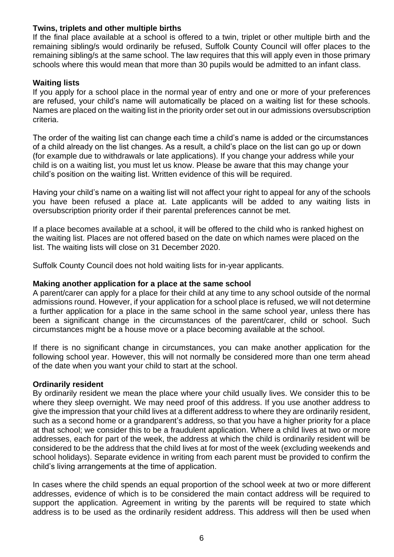### **Twins, triplets and other multiple births**

If the final place available at a school is offered to a twin, triplet or other multiple birth and the remaining sibling/s would ordinarily be refused, Suffolk County Council will offer places to the remaining sibling/s at the same school. The law requires that this will apply even in those primary schools where this would mean that more than 30 pupils would be admitted to an infant class.

### **Waiting lists**

If you apply for a school place in the normal year of entry and one or more of your preferences are refused, your child's name will automatically be placed on a waiting list for these schools. Names are placed on the waiting list in the priority order set out in our admissions oversubscription criteria.

The order of the waiting list can change each time a child's name is added or the circumstances of a child already on the list changes. As a result, a child's place on the list can go up or down (for example due to withdrawals or late applications). If you change your address while your child is on a waiting list, you must let us know. Please be aware that this may change your child's position on the waiting list. Written evidence of this will be required.

Having your child's name on a waiting list will not affect your right to appeal for any of the schools you have been refused a place at. Late applicants will be added to any waiting lists in oversubscription priority order if their parental preferences cannot be met.

If a place becomes available at a school, it will be offered to the child who is ranked highest on the waiting list. Places are not offered based on the date on which names were placed on the list. The waiting lists will close on 31 December 2020.

Suffolk County Council does not hold waiting lists for in-year applicants.

### **Making another application for a place at the same school**

A parent/carer can apply for a place for their child at any time to any school outside of the normal admissions round. However, if your application for a school place is refused, we will not determine a further application for a place in the same school in the same school year, unless there has been a significant change in the circumstances of the parent/carer, child or school. Such circumstances might be a house move or a place becoming available at the school.

If there is no significant change in circumstances, you can make another application for the following school year. However, this will not normally be considered more than one term ahead of the date when you want your child to start at the school.

### **Ordinarily resident**

By ordinarily resident we mean the place where your child usually lives. We consider this to be where they sleep overnight. We may need proof of this address. If you use another address to give the impression that your child lives at a different address to where they are ordinarily resident, such as a second home or a grandparent's address, so that you have a higher priority for a place at that school; we consider this to be a fraudulent application. Where a child lives at two or more addresses, each for part of the week, the address at which the child is ordinarily resident will be considered to be the address that the child lives at for most of the week (excluding weekends and school holidays). Separate evidence in writing from each parent must be provided to confirm the child's living arrangements at the time of application.

In cases where the child spends an equal proportion of the school week at two or more different addresses, evidence of which is to be considered the main contact address will be required to support the application. Agreement in writing by the parents will be required to state which address is to be used as the ordinarily resident address. This address will then be used when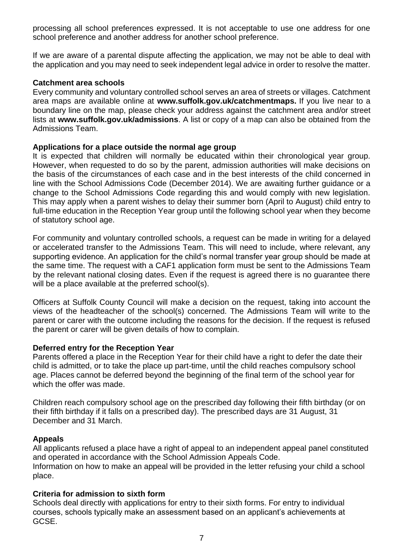processing all school preferences expressed. It is not acceptable to use one address for one school preference and another address for another school preference.

If we are aware of a parental dispute affecting the application, we may not be able to deal with the application and you may need to seek independent legal advice in order to resolve the matter.

#### **Catchment area schools**

Every community and voluntary controlled school serves an area of streets or villages. Catchment area maps are available online at **www.suffolk.gov.uk/catchmentmaps.** If you live near to a boundary line on the map, please check your address against the catchment area and/or street lists at **www.suffolk.gov.uk/admissions**. A list or copy of a map can also be obtained from the Admissions Team.

#### **Applications for a place outside the normal age group**

It is expected that children will normally be educated within their chronological year group. However, when requested to do so by the parent, admission authorities will make decisions on the basis of the circumstances of each case and in the best interests of the child concerned in line with the School Admissions Code (December 2014). We are awaiting further guidance or a change to the School Admissions Code regarding this and would comply with new legislation. This may apply when a parent wishes to delay their summer born (April to August) child entry to full-time education in the Reception Year group until the following school year when they become of statutory school age.

For community and voluntary controlled schools, a request can be made in writing for a delayed or accelerated transfer to the Admissions Team. This will need to include, where relevant, any supporting evidence. An application for the child's normal transfer year group should be made at the same time. The request with a CAF1 application form must be sent to the Admissions Team by the relevant national closing dates. Even if the request is agreed there is no guarantee there will be a place available at the preferred school(s).

Officers at Suffolk County Council will make a decision on the request, taking into account the views of the headteacher of the school(s) concerned. The Admissions Team will write to the parent or carer with the outcome including the reasons for the decision. If the request is refused the parent or carer will be given details of how to complain.

### **Deferred entry for the Reception Year**

Parents offered a place in the Reception Year for their child have a right to defer the date their child is admitted, or to take the place up part-time, until the child reaches compulsory school age. Places cannot be deferred beyond the beginning of the final term of the school year for which the offer was made.

Children reach compulsory school age on the prescribed day following their fifth birthday (or on their fifth birthday if it falls on a prescribed day). The prescribed days are 31 August, 31 December and 31 March.

### **Appeals**

All applicants refused a place have a right of appeal to an independent appeal panel constituted and operated in accordance with the School Admission Appeals Code. Information on how to make an appeal will be provided in the letter refusing your child a school place.

### **Criteria for admission to sixth form**

Schools deal directly with applications for entry to their sixth forms. For entry to individual courses, schools typically make an assessment based on an applicant's achievements at GCSE.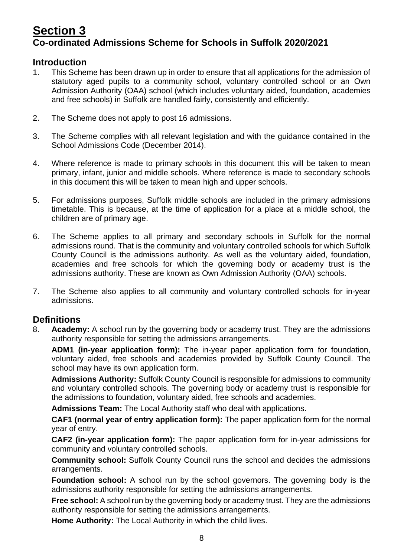# <span id="page-7-0"></span>**Section 3 Co-ordinated Admissions Scheme for Schools in Suffolk 2020/2021**

# **Introduction**

- 1. This Scheme has been drawn up in order to ensure that all applications for the admission of statutory aged pupils to a community school, voluntary controlled school or an Own Admission Authority (OAA) school (which includes voluntary aided, foundation, academies and free schools) in Suffolk are handled fairly, consistently and efficiently.
- 2. The Scheme does not apply to post 16 admissions.
- 3. The Scheme complies with all relevant legislation and with the guidance contained in the School Admissions Code (December 2014).
- 4. Where reference is made to primary schools in this document this will be taken to mean primary, infant, junior and middle schools. Where reference is made to secondary schools in this document this will be taken to mean high and upper schools.
- 5. For admissions purposes, Suffolk middle schools are included in the primary admissions timetable. This is because, at the time of application for a place at a middle school, the children are of primary age.
- 6. The Scheme applies to all primary and secondary schools in Suffolk for the normal admissions round. That is the community and voluntary controlled schools for which Suffolk County Council is the admissions authority. As well as the voluntary aided, foundation, academies and free schools for which the governing body or academy trust is the admissions authority. These are known as Own Admission Authority (OAA) schools.
- 7. The Scheme also applies to all community and voluntary controlled schools for in-year admissions.

# **Definitions**

8. **Academy:** A school run by the governing body or academy trust. They are the admissions authority responsible for setting the admissions arrangements.

**ADM1 (in-year application form):** The in-year paper application form for foundation, voluntary aided, free schools and academies provided by Suffolk County Council. The school may have its own application form.

**Admissions Authority:** Suffolk County Council is responsible for admissions to community and voluntary controlled schools. The governing body or academy trust is responsible for the admissions to foundation, voluntary aided, free schools and academies.

**Admissions Team:** The Local Authority staff who deal with applications.

**CAF1 (normal year of entry application form):** The paper application form for the normal year of entry.

**CAF2 (in-year application form):** The paper application form for in-year admissions for community and voluntary controlled schools.

**Community school:** Suffolk County Council runs the school and decides the admissions arrangements.

**Foundation school:** A school run by the school governors. The governing body is the admissions authority responsible for setting the admissions arrangements.

**Free school:** A school run by the governing body or academy trust. They are the admissions authority responsible for setting the admissions arrangements.

**Home Authority:** The Local Authority in which the child lives.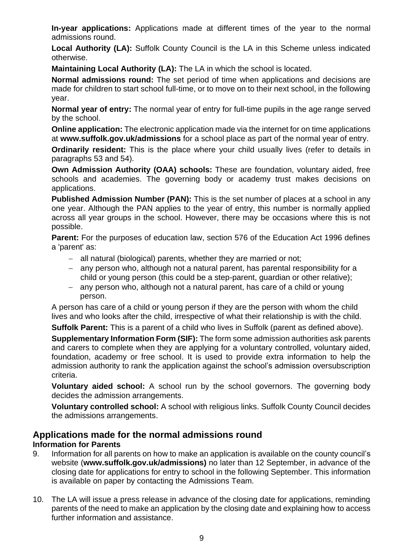**In-year applications:** Applications made at different times of the year to the normal admissions round.

Local Authority (LA): Suffolk County Council is the LA in this Scheme unless indicated otherwise.

**Maintaining Local Authority (LA):** The LA in which the school is located.

**Normal admissions round:** The set period of time when applications and decisions are made for children to start school full-time, or to move on to their next school, in the following year.

**Normal year of entry:** The normal year of entry for full-time pupils in the age range served by the school.

**Online application:** The electronic application made via the internet for on time applications at **www.suffolk.gov.uk/admissions** for a school place as part of the normal year of entry.

**Ordinarily resident:** This is the place where your child usually lives (refer to details in paragraphs 53 and 54).

**Own Admission Authority (OAA) schools:** These are foundation, voluntary aided, free schools and academies. The governing body or academy trust makes decisions on applications.

**Published Admission Number (PAN):** This is the set number of places at a school in any one year. Although the PAN applies to the year of entry, this number is normally applied across all year groups in the school. However, there may be occasions where this is not possible.

**Parent:** For the purposes of education law, section 576 of the Education Act 1996 defines a 'parent' as:

- − all natural (biological) parents, whether they are married or not;
- − any person who, although not a natural parent, has parental responsibility for a child or young person (this could be a step-parent, guardian or other relative);
- − any person who, although not a natural parent, has care of a child or young person.

A person has care of a child or young person if they are the person with whom the child lives and who looks after the child, irrespective of what their relationship is with the child.

**Suffolk Parent:** This is a parent of a child who lives in Suffolk (parent as defined above).

**Supplementary Information Form (SIF):** The form some admission authorities ask parents and carers to complete when they are applying for a voluntary controlled, voluntary aided, foundation, academy or free school. It is used to provide extra information to help the admission authority to rank the application against the school's admission oversubscription criteria.

**Voluntary aided school:** A school run by the school governors. The governing body decides the admission arrangements.

**Voluntary controlled school:** A school with religious links. Suffolk County Council decides the admissions arrangements.

# **Applications made for the normal admissions round**

### **Information for Parents**

- 9. Information for all parents on how to make an application is available on the county council's website (**www.suffolk.gov.uk/admissions)** no later than 12 September, in advance of the closing date for applications for entry to school in the following September. This information is available on paper by contacting the Admissions Team.
- 10. The LA will issue a press release in advance of the closing date for applications, reminding parents of the need to make an application by the closing date and explaining how to access further information and assistance.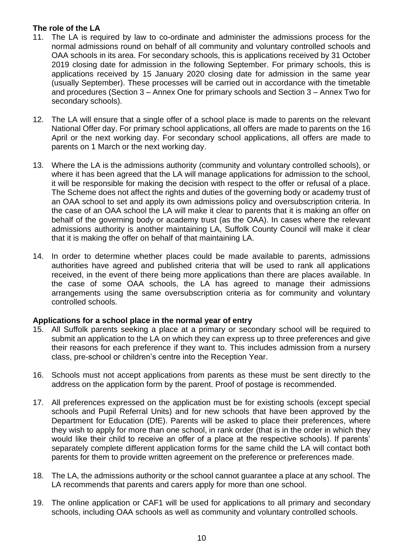### **The role of the LA**

- 11. The LA is required by law to co-ordinate and administer the admissions process for the normal admissions round on behalf of all community and voluntary controlled schools and OAA schools in its area. For secondary schools, this is applications received by 31 October 2019 closing date for admission in the following September. For primary schools, this is applications received by 15 January 2020 closing date for admission in the same year (usually September). These processes will be carried out in accordance with the timetable and procedures (Section 3 – Annex One for primary schools and Section 3 – Annex Two for secondary schools).
- 12. The LA will ensure that a single offer of a school place is made to parents on the relevant National Offer day. For primary school applications, all offers are made to parents on the 16 April or the next working day. For secondary school applications, all offers are made to parents on 1 March or the next working day.
- 13. Where the LA is the admissions authority (community and voluntary controlled schools), or where it has been agreed that the LA will manage applications for admission to the school, it will be responsible for making the decision with respect to the offer or refusal of a place. The Scheme does not affect the rights and duties of the governing body or academy trust of an OAA school to set and apply its own admissions policy and oversubscription criteria. In the case of an OAA school the LA will make it clear to parents that it is making an offer on behalf of the governing body or academy trust (as the OAA). In cases where the relevant admissions authority is another maintaining LA, Suffolk County Council will make it clear that it is making the offer on behalf of that maintaining LA.
- 14. In order to determine whether places could be made available to parents, admissions authorities have agreed and published criteria that will be used to rank all applications received, in the event of there being more applications than there are places available. In the case of some OAA schools, the LA has agreed to manage their admissions arrangements using the same oversubscription criteria as for community and voluntary controlled schools.

### **Applications for a school place in the normal year of entry**

- 15. All Suffolk parents seeking a place at a primary or secondary school will be required to submit an application to the LA on which they can express up to three preferences and give their reasons for each preference if they want to. This includes admission from a nursery class, pre-school or children's centre into the Reception Year.
- 16. Schools must not accept applications from parents as these must be sent directly to the address on the application form by the parent. Proof of postage is recommended.
- 17. All preferences expressed on the application must be for existing schools (except special schools and Pupil Referral Units) and for new schools that have been approved by the Department for Education (DfE). Parents will be asked to place their preferences, where they wish to apply for more than one school, in rank order (that is in the order in which they would like their child to receive an offer of a place at the respective schools). If parents' separately complete different application forms for the same child the LA will contact both parents for them to provide written agreement on the preference or preferences made.
- 18. The LA, the admissions authority or the school cannot guarantee a place at any school. The LA recommends that parents and carers apply for more than one school.
- 19. The online application or CAF1 will be used for applications to all primary and secondary schools, including OAA schools as well as community and voluntary controlled schools.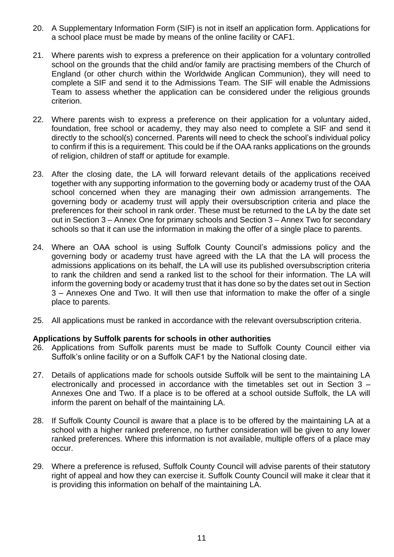- 20. A Supplementary Information Form (SIF) is not in itself an application form. Applications for a school place must be made by means of the online facility or CAF1.
- 21. Where parents wish to express a preference on their application for a voluntary controlled school on the grounds that the child and/or family are practising members of the Church of England (or other church within the Worldwide Anglican Communion), they will need to complete a SIF and send it to the Admissions Team. The SIF will enable the Admissions Team to assess whether the application can be considered under the religious grounds criterion.
- 22. Where parents wish to express a preference on their application for a voluntary aided, foundation, free school or academy, they may also need to complete a SIF and send it directly to the school(s) concerned. Parents will need to check the school's individual policy to confirm if this is a requirement. This could be if the OAA ranks applications on the grounds of religion, children of staff or aptitude for example.
- 23. After the closing date, the LA will forward relevant details of the applications received together with any supporting information to the governing body or academy trust of the OAA school concerned when they are managing their own admission arrangements. The governing body or academy trust will apply their oversubscription criteria and place the preferences for their school in rank order. These must be returned to the LA by the date set out in Section 3 – Annex One for primary schools and Section 3 – Annex Two for secondary schools so that it can use the information in making the offer of a single place to parents.
- 24. Where an OAA school is using Suffolk County Council's admissions policy and the governing body or academy trust have agreed with the LA that the LA will process the admissions applications on its behalf, the LA will use its published oversubscription criteria to rank the children and send a ranked list to the school for their information. The LA will inform the governing body or academy trust that it has done so by the dates set out in Section 3 – Annexes One and Two. It will then use that information to make the offer of a single place to parents.
- 25. All applications must be ranked in accordance with the relevant oversubscription criteria.

### **Applications by Suffolk parents for schools in other authorities**

- 26. Applications from Suffolk parents must be made to Suffolk County Council either via Suffolk's online facility or on a Suffolk CAF1 by the National closing date.
- 27. Details of applications made for schools outside Suffolk will be sent to the maintaining LA electronically and processed in accordance with the timetables set out in Section 3 – Annexes One and Two. If a place is to be offered at a school outside Suffolk, the LA will inform the parent on behalf of the maintaining LA.
- 28. If Suffolk County Council is aware that a place is to be offered by the maintaining LA at a school with a higher ranked preference, no further consideration will be given to any lower ranked preferences. Where this information is not available, multiple offers of a place may occur.
- 29. Where a preference is refused, Suffolk County Council will advise parents of their statutory right of appeal and how they can exercise it. Suffolk County Council will make it clear that it is providing this information on behalf of the maintaining LA.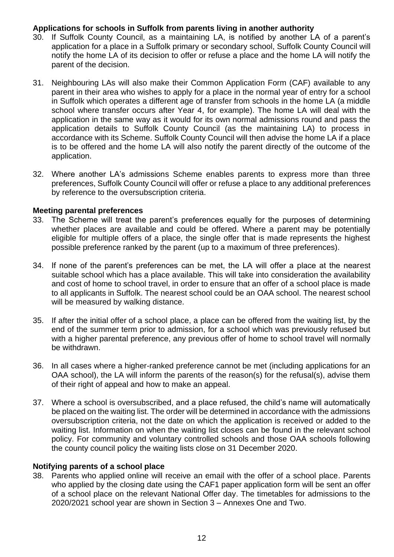### **Applications for schools in Suffolk from parents living in another authority**

- 30. If Suffolk County Council, as a maintaining LA, is notified by another LA of a parent's application for a place in a Suffolk primary or secondary school, Suffolk County Council will notify the home LA of its decision to offer or refuse a place and the home LA will notify the parent of the decision.
- 31. Neighbouring LAs will also make their Common Application Form (CAF) available to any parent in their area who wishes to apply for a place in the normal year of entry for a school in Suffolk which operates a different age of transfer from schools in the home LA (a middle school where transfer occurs after Year 4, for example). The home LA will deal with the application in the same way as it would for its own normal admissions round and pass the application details to Suffolk County Council (as the maintaining LA) to process in accordance with its Scheme. Suffolk County Council will then advise the home LA if a place is to be offered and the home LA will also notify the parent directly of the outcome of the application.
- 32. Where another LA's admissions Scheme enables parents to express more than three preferences, Suffolk County Council will offer or refuse a place to any additional preferences by reference to the oversubscription criteria.

### **Meeting parental preferences**

- 33. The Scheme will treat the parent's preferences equally for the purposes of determining whether places are available and could be offered. Where a parent may be potentially eligible for multiple offers of a place, the single offer that is made represents the highest possible preference ranked by the parent (up to a maximum of three preferences).
- 34. If none of the parent's preferences can be met, the LA will offer a place at the nearest suitable school which has a place available. This will take into consideration the availability and cost of home to school travel, in order to ensure that an offer of a school place is made to all applicants in Suffolk. The nearest school could be an OAA school. The nearest school will be measured by walking distance.
- 35. If after the initial offer of a school place, a place can be offered from the waiting list, by the end of the summer term prior to admission, for a school which was previously refused but with a higher parental preference, any previous offer of home to school travel will normally be withdrawn.
- 36. In all cases where a higher-ranked preference cannot be met (including applications for an OAA school), the LA will inform the parents of the reason(s) for the refusal(s), advise them of their right of appeal and how to make an appeal.
- 37. Where a school is oversubscribed, and a place refused, the child's name will automatically be placed on the waiting list. The order will be determined in accordance with the admissions oversubscription criteria, not the date on which the application is received or added to the waiting list. Information on when the waiting list closes can be found in the relevant school policy. For community and voluntary controlled schools and those OAA schools following the county council policy the waiting lists close on 31 December 2020.

#### **Notifying parents of a school place**

38. Parents who applied online will receive an email with the offer of a school place. Parents who applied by the closing date using the CAF1 paper application form will be sent an offer of a school place on the relevant National Offer day. The timetables for admissions to the 2020/2021 school year are shown in Section 3 – Annexes One and Two.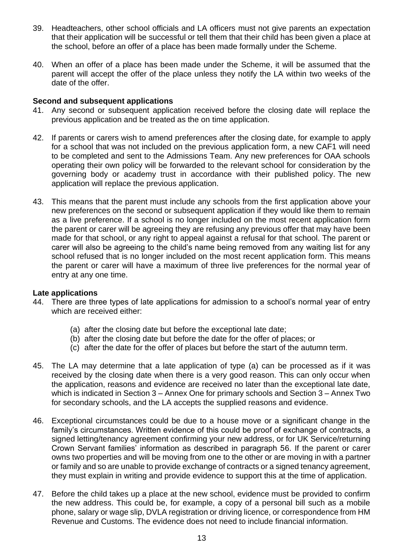- 39. Headteachers, other school officials and LA officers must not give parents an expectation that their application will be successful or tell them that their child has been given a place at the school, before an offer of a place has been made formally under the Scheme.
- 40. When an offer of a place has been made under the Scheme, it will be assumed that the parent will accept the offer of the place unless they notify the LA within two weeks of the date of the offer.

### **Second and subsequent applications**

- 41. Any second or subsequent application received before the closing date will replace the previous application and be treated as the on time application.
- 42. If parents or carers wish to amend preferences after the closing date, for example to apply for a school that was not included on the previous application form, a new CAF1 will need to be completed and sent to the Admissions Team. Any new preferences for OAA schools operating their own policy will be forwarded to the relevant school for consideration by the governing body or academy trust in accordance with their published policy. The new application will replace the previous application.
- 43. This means that the parent must include any schools from the first application above your new preferences on the second or subsequent application if they would like them to remain as a live preference. If a school is no longer included on the most recent application form the parent or carer will be agreeing they are refusing any previous offer that may have been made for that school, or any right to appeal against a refusal for that school. The parent or carer will also be agreeing to the child's name being removed from any waiting list for any school refused that is no longer included on the most recent application form. This means the parent or carer will have a maximum of three live preferences for the normal year of entry at any one time.

### **Late applications**

- 44. There are three types of late applications for admission to a school's normal year of entry which are received either:
	- (a) after the closing date but before the exceptional late date;
	- (b) after the closing date but before the date for the offer of places; or
	- (c) after the date for the offer of places but before the start of the autumn term.
- 45. The LA may determine that a late application of type (a) can be processed as if it was received by the closing date when there is a very good reason. This can only occur when the application, reasons and evidence are received no later than the exceptional late date, which is indicated in Section 3 – Annex One for primary schools and Section 3 – Annex Two for secondary schools, and the LA accepts the supplied reasons and evidence.
- 46. Exceptional circumstances could be due to a house move or a significant change in the family's circumstances. Written evidence of this could be proof of exchange of contracts, a signed letting/tenancy agreement confirming your new address, or for UK Service/returning Crown Servant families' information as described in paragraph 56. If the parent or carer owns two properties and will be moving from one to the other or are moving in with a partner or family and so are unable to provide exchange of contracts or a signed tenancy agreement, they must explain in writing and provide evidence to support this at the time of application.
- 47. Before the child takes up a place at the new school, evidence must be provided to confirm the new address. This could be, for example, a copy of a personal bill such as a mobile phone, salary or wage slip, DVLA registration or driving licence, or correspondence from HM Revenue and Customs. The evidence does not need to include financial information.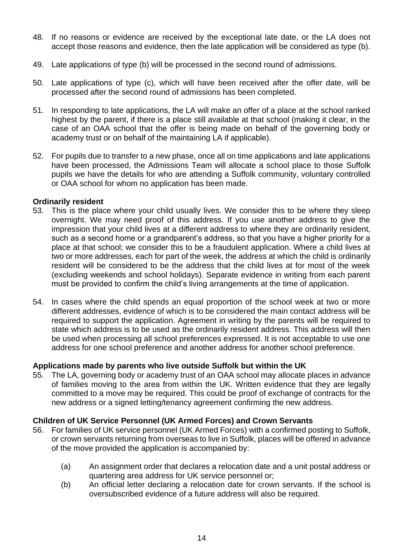- 48. If no reasons or evidence are received by the exceptional late date, or the LA does not accept those reasons and evidence, then the late application will be considered as type (b).
- 49. Late applications of type (b) will be processed in the second round of admissions.
- 50. Late applications of type (c), which will have been received after the offer date, will be processed after the second round of admissions has been completed.
- 51. In responding to late applications, the LA will make an offer of a place at the school ranked highest by the parent, if there is a place still available at that school (making it clear, in the case of an OAA school that the offer is being made on behalf of the governing body or academy trust or on behalf of the maintaining LA if applicable).
- 52. For pupils due to transfer to a new phase, once all on time applications and late applications have been processed, the Admissions Team will allocate a school place to those Suffolk pupils we have the details for who are attending a Suffolk community, voluntary controlled or OAA school for whom no application has been made.

#### **Ordinarily resident**

- 53. This is the place where your child usually lives. We consider this to be where they sleep overnight. We may need proof of this address. If you use another address to give the impression that your child lives at a different address to where they are ordinarily resident, such as a second home or a grandparent's address, so that you have a higher priority for a place at that school; we consider this to be a fraudulent application. Where a child lives at two or more addresses, each for part of the week, the address at which the child is ordinarily resident will be considered to be the address that the child lives at for most of the week (excluding weekends and school holidays). Separate evidence in writing from each parent must be provided to confirm the child's living arrangements at the time of application.
- 54. In cases where the child spends an equal proportion of the school week at two or more different addresses, evidence of which is to be considered the main contact address will be required to support the application. Agreement in writing by the parents will be required to state which address is to be used as the ordinarily resident address. This address will then be used when processing all school preferences expressed. It is not acceptable to use one address for one school preference and another address for another school preference.

### **Applications made by parents who live outside Suffolk but within the UK**

55. The LA, governing body or academy trust of an OAA school may allocate places in advance of families moving to the area from within the UK. Written evidence that they are legally committed to a move may be required. This could be proof of exchange of contracts for the new address or a signed letting/tenancy agreement confirming the new address.

#### **Children of UK Service Personnel (UK Armed Forces) and Crown Servants**

- 56. For families of UK service personnel (UK Armed Forces) with a confirmed posting to Suffolk, or crown servants returning from overseas to live in Suffolk, places will be offered in advance of the move provided the application is accompanied by:
	- (a) An assignment order that declares a relocation date and a unit postal address or quartering area address for UK service personnel or;
	- (b) An official letter declaring a relocation date for crown servants. If the school is oversubscribed evidence of a future address will also be required.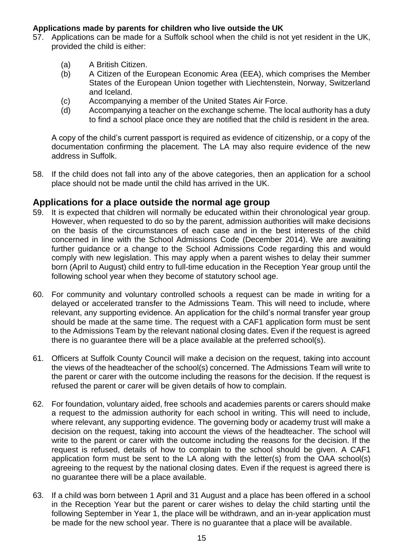### **Applications made by parents for children who live outside the UK**

- 57. Applications can be made for a Suffolk school when the child is not yet resident in the UK, provided the child is either:
	- (a) A British Citizen.
	- (b) A Citizen of the European Economic Area (EEA), which comprises the Member States of the European Union together with Liechtenstein, Norway, Switzerland and Iceland.
	- (c) Accompanying a member of the United States Air Force.
	- (d) Accompanying a teacher on the exchange scheme. The local authority has a duty to find a school place once they are notified that the child is resident in the area.

A copy of the child's current passport is required as evidence of citizenship, or a copy of the documentation confirming the placement. The LA may also require evidence of the new address in Suffolk.

58. If the child does not fall into any of the above categories, then an application for a school place should not be made until the child has arrived in the UK.

# **Applications for a place outside the normal age group**

- 59. It is expected that children will normally be educated within their chronological year group. However, when requested to do so by the parent, admission authorities will make decisions on the basis of the circumstances of each case and in the best interests of the child concerned in line with the School Admissions Code (December 2014). We are awaiting further guidance or a change to the School Admissions Code regarding this and would comply with new legislation. This may apply when a parent wishes to delay their summer born (April to August) child entry to full-time education in the Reception Year group until the following school year when they become of statutory school age.
- 60. For community and voluntary controlled schools a request can be made in writing for a delayed or accelerated transfer to the Admissions Team. This will need to include, where relevant, any supporting evidence. An application for the child's normal transfer year group should be made at the same time. The request with a CAF1 application form must be sent to the Admissions Team by the relevant national closing dates. Even if the request is agreed there is no guarantee there will be a place available at the preferred school(s).
- 61. Officers at Suffolk County Council will make a decision on the request, taking into account the views of the headteacher of the school(s) concerned. The Admissions Team will write to the parent or carer with the outcome including the reasons for the decision. If the request is refused the parent or carer will be given details of how to complain.
- 62. For foundation, voluntary aided, free schools and academies parents or carers should make a request to the admission authority for each school in writing. This will need to include, where relevant, any supporting evidence. The governing body or academy trust will make a decision on the request, taking into account the views of the headteacher. The school will write to the parent or carer with the outcome including the reasons for the decision. If the request is refused, details of how to complain to the school should be given. A CAF1 application form must be sent to the LA along with the letter(s) from the OAA school(s) agreeing to the request by the national closing dates. Even if the request is agreed there is no guarantee there will be a place available.
- 63. If a child was born between 1 April and 31 August and a place has been offered in a school in the Reception Year but the parent or carer wishes to delay the child starting until the following September in Year 1, the place will be withdrawn, and an in-year application must be made for the new school year. There is no guarantee that a place will be available.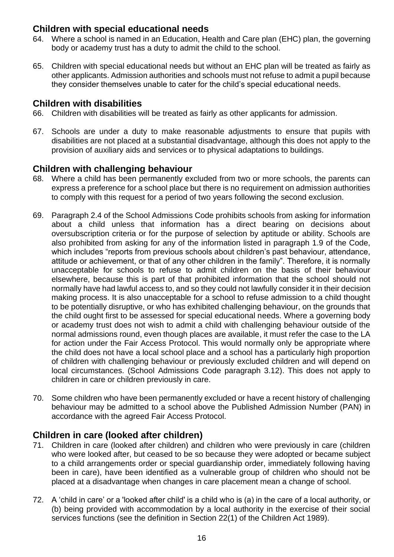# **Children with special educational needs**

- 64. Where a school is named in an Education, Health and Care plan (EHC) plan, the governing body or academy trust has a duty to admit the child to the school.
- 65. Children with special educational needs but without an EHC plan will be treated as fairly as other applicants. Admission authorities and schools must not refuse to admit a pupil because they consider themselves unable to cater for the child's special educational needs.

# **Children with disabilities**

- 66. Children with disabilities will be treated as fairly as other applicants for admission.
- 67. Schools are under a duty to make reasonable adjustments to ensure that pupils with disabilities are not placed at a substantial disadvantage, although this does not apply to the provision of auxiliary aids and services or to physical adaptations to buildings.

# **Children with challenging behaviour**

- 68. Where a child has been permanently excluded from two or more schools, the parents can express a preference for a school place but there is no requirement on admission authorities to comply with this request for a period of two years following the second exclusion.
- 69. Paragraph 2.4 of the School Admissions Code prohibits schools from asking for information about a child unless that information has a direct bearing on decisions about oversubscription criteria or for the purpose of selection by aptitude or ability. Schools are also prohibited from asking for any of the information listed in paragraph 1.9 of the Code, which includes "reports from previous schools about children's past behaviour, attendance, attitude or achievement, or that of any other children in the family". Therefore, it is normally unacceptable for schools to refuse to admit children on the basis of their behaviour elsewhere, because this is part of that prohibited information that the school should not normally have had lawful access to, and so they could not lawfully consider it in their decision making process. It is also unacceptable for a school to refuse admission to a child thought to be potentially disruptive, or who has exhibited challenging behaviour, on the grounds that the child ought first to be assessed for special educational needs. Where a governing body or academy trust does not wish to admit a child with challenging behaviour outside of the normal admissions round, even though places are available, it must refer the case to the LA for action under the Fair Access Protocol. This would normally only be appropriate where the child does not have a local school place and a school has a particularly high proportion of children with challenging behaviour or previously excluded children and will depend on local circumstances. (School Admissions Code paragraph 3.12). This does not apply to children in care or children previously in care.
- 70. Some children who have been permanently excluded or have a recent history of challenging behaviour may be admitted to a school above the Published Admission Number (PAN) in accordance with the agreed Fair Access Protocol.

# **Children in care (looked after children)**

- 71. Children in care (looked after children) and children who were previously in care (children who were looked after, but ceased to be so because they were adopted or became subject to a child arrangements order or special guardianship order, immediately following having been in care), have been identified as a vulnerable group of children who should not be placed at a disadvantage when changes in care placement mean a change of school.
- 72. A 'child in care' or a 'looked after child' is a child who is (a) in the care of a local authority, or (b) being provided with accommodation by a local authority in the exercise of their social services functions (see the definition in Section 22(1) of the Children Act 1989).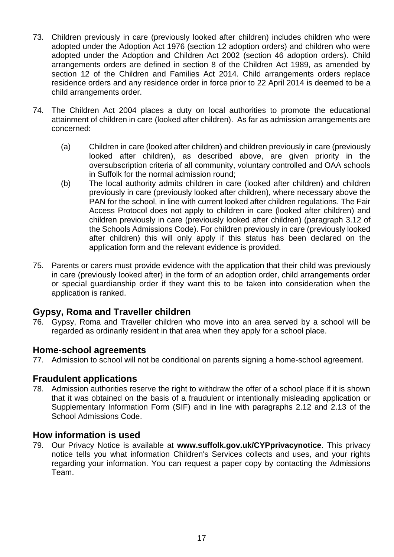- 73. Children previously in care (previously looked after children) includes children who were adopted under the Adoption Act 1976 (section 12 adoption orders) and children who were adopted under the Adoption and Children Act 2002 (section 46 adoption orders). Child arrangements orders are defined in section 8 of the Children Act 1989, as amended by section 12 of the Children and Families Act 2014. Child arrangements orders replace residence orders and any residence order in force prior to 22 April 2014 is deemed to be a child arrangements order.
- 74. The Children Act 2004 places a duty on local authorities to promote the educational attainment of children in care (looked after children). As far as admission arrangements are concerned:
	- (a) Children in care (looked after children) and children previously in care (previously looked after children), as described above, are given priority in the oversubscription criteria of all community, voluntary controlled and OAA schools in Suffolk for the normal admission round;
	- (b) The local authority admits children in care (looked after children) and children previously in care (previously looked after children), where necessary above the PAN for the school, in line with current looked after children regulations. The Fair Access Protocol does not apply to children in care (looked after children) and children previously in care (previously looked after children) (paragraph 3.12 of the Schools Admissions Code). For children previously in care (previously looked after children) this will only apply if this status has been declared on the application form and the relevant evidence is provided.
- 75. Parents or carers must provide evidence with the application that their child was previously in care (previously looked after) in the form of an adoption order, child arrangements order or special guardianship order if they want this to be taken into consideration when the application is ranked.

# **Gypsy, Roma and Traveller children**

76. Gypsy, Roma and Traveller children who move into an area served by a school will be regarded as ordinarily resident in that area when they apply for a school place.

### **Home-school agreements**

77. Admission to school will not be conditional on parents signing a home-school agreement.

# **Fraudulent applications**

78. Admission authorities reserve the right to withdraw the offer of a school place if it is shown that it was obtained on the basis of a fraudulent or intentionally misleading application or Supplementary Information Form (SIF) and in line with paragraphs 2.12 and 2.13 of the School Admissions Code.

# **How information is used**

79. Our Privacy Notice is available at **[www.suffolk.gov.uk/CYPprivacynotice](http://www.suffolk.gov.uk/CYPprivacynotice)**. This privacy notice tells you what information Children's Services collects and uses, and your rights regarding your information. You can request a paper copy by contacting the Admissions Team.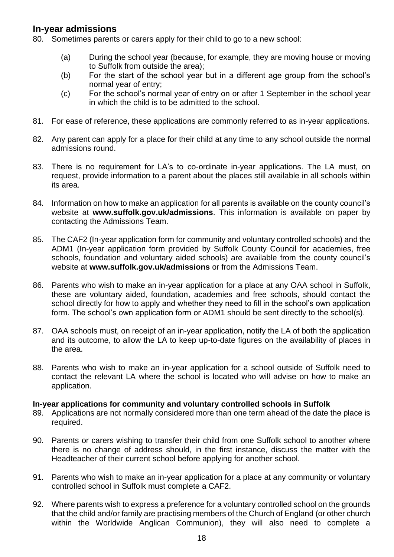# **In-year admissions**

- 80. Sometimes parents or carers apply for their child to go to a new school:
	- (a) During the school year (because, for example, they are moving house or moving to Suffolk from outside the area);
	- (b) For the start of the school year but in a different age group from the school's normal year of entry;
	- (c) For the school's normal year of entry on or after 1 September in the school year in which the child is to be admitted to the school.
- 81. For ease of reference, these applications are commonly referred to as in-year applications.
- 82. Any parent can apply for a place for their child at any time to any school outside the normal admissions round.
- 83. There is no requirement for LA's to co-ordinate in-year applications. The LA must, on request, provide information to a parent about the places still available in all schools within its area.
- 84. Information on how to make an application for all parents is available on the county council's website at **www.suffolk.gov.uk/admissions**. This information is available on paper by contacting the Admissions Team.
- 85. The CAF2 (In-year application form for community and voluntary controlled schools) and the ADM1 (In-year application form provided by Suffolk County Council for academies, free schools, foundation and voluntary aided schools) are available from the county council's website at **www.suffolk.gov.uk/admissions** or from the Admissions Team.
- 86. Parents who wish to make an in-year application for a place at any OAA school in Suffolk, these are voluntary aided, foundation, academies and free schools, should contact the school directly for how to apply and whether they need to fill in the school's own application form. The school's own application form or ADM1 should be sent directly to the school(s).
- 87. OAA schools must, on receipt of an in-year application, notify the LA of both the application and its outcome, to allow the LA to keep up-to-date figures on the availability of places in the area.
- 88. Parents who wish to make an in-year application for a school outside of Suffolk need to contact the relevant LA where the school is located who will advise on how to make an application.

### **In-year applications for community and voluntary controlled schools in Suffolk**

- 89. Applications are not normally considered more than one term ahead of the date the place is required.
- 90. Parents or carers wishing to transfer their child from one Suffolk school to another where there is no change of address should, in the first instance, discuss the matter with the Headteacher of their current school before applying for another school.
- 91. Parents who wish to make an in-year application for a place at any community or voluntary controlled school in Suffolk must complete a CAF2.
- 92. Where parents wish to express a preference for a voluntary controlled school on the grounds that the child and/or family are practising members of the Church of England (or other church within the Worldwide Anglican Communion), they will also need to complete a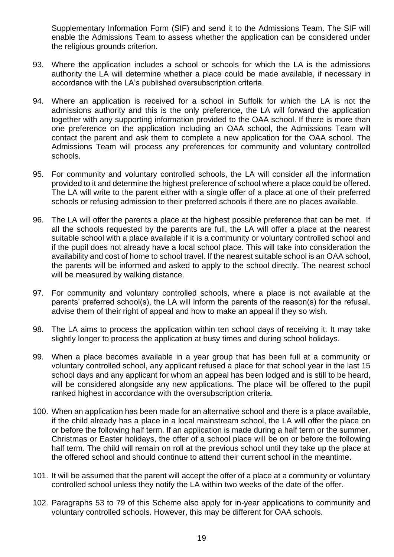Supplementary Information Form (SIF) and send it to the Admissions Team. The SIF will enable the Admissions Team to assess whether the application can be considered under the religious grounds criterion.

- 93. Where the application includes a school or schools for which the LA is the admissions authority the LA will determine whether a place could be made available, if necessary in accordance with the LA's published oversubscription criteria.
- 94. Where an application is received for a school in Suffolk for which the LA is not the admissions authority and this is the only preference, the LA will forward the application together with any supporting information provided to the OAA school. If there is more than one preference on the application including an OAA school, the Admissions Team will contact the parent and ask them to complete a new application for the OAA school. The Admissions Team will process any preferences for community and voluntary controlled schools.
- 95. For community and voluntary controlled schools, the LA will consider all the information provided to it and determine the highest preference of school where a place could be offered. The LA will write to the parent either with a single offer of a place at one of their preferred schools or refusing admission to their preferred schools if there are no places available.
- 96. The LA will offer the parents a place at the highest possible preference that can be met. If all the schools requested by the parents are full, the LA will offer a place at the nearest suitable school with a place available if it is a community or voluntary controlled school and if the pupil does not already have a local school place. This will take into consideration the availability and cost of home to school travel. If the nearest suitable school is an OAA school, the parents will be informed and asked to apply to the school directly. The nearest school will be measured by walking distance.
- 97. For community and voluntary controlled schools, where a place is not available at the parents' preferred school(s), the LA will inform the parents of the reason(s) for the refusal, advise them of their right of appeal and how to make an appeal if they so wish.
- 98. The LA aims to process the application within ten school days of receiving it. It may take slightly longer to process the application at busy times and during school holidays.
- 99. When a place becomes available in a year group that has been full at a community or voluntary controlled school, any applicant refused a place for that school year in the last 15 school days and any applicant for whom an appeal has been lodged and is still to be heard, will be considered alongside any new applications. The place will be offered to the pupil ranked highest in accordance with the oversubscription criteria.
- 100. When an application has been made for an alternative school and there is a place available, if the child already has a place in a local mainstream school, the LA will offer the place on or before the following half term. If an application is made during a half term or the summer, Christmas or Easter holidays, the offer of a school place will be on or before the following half term. The child will remain on roll at the previous school until they take up the place at the offered school and should continue to attend their current school in the meantime.
- 101. It will be assumed that the parent will accept the offer of a place at a community or voluntary controlled school unless they notify the LA within two weeks of the date of the offer.
- 102. Paragraphs 53 to 79 of this Scheme also apply for in-year applications to community and voluntary controlled schools. However, this may be different for OAA schools.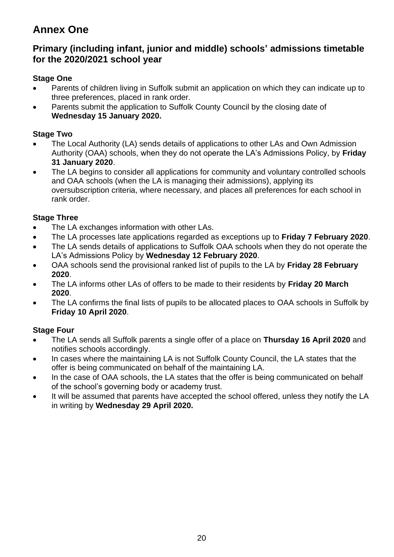# <span id="page-19-0"></span>**Annex One**

# **Primary (including infant, junior and middle) schools' admissions timetable for the 2020/2021 school year**

# **Stage One**

- Parents of children living in Suffolk submit an application on which they can indicate up to three preferences, placed in rank order.
- Parents submit the application to Suffolk County Council by the closing date of **Wednesday 15 January 2020.**

# **Stage Two**

- The Local Authority (LA) sends details of applications to other LAs and Own Admission Authority (OAA) schools, when they do not operate the LA's Admissions Policy, by **Friday 31 January 2020**.
- The LA begins to consider all applications for community and voluntary controlled schools and OAA schools (when the LA is managing their admissions), applying its oversubscription criteria, where necessary, and places all preferences for each school in rank order.

# **Stage Three**

- The LA exchanges information with other LAs.
- The LA processes late applications regarded as exceptions up to **Friday 7 February 2020**.
- The LA sends details of applications to Suffolk OAA schools when they do not operate the LA's Admissions Policy by **Wednesday 12 February 2020**.
- OAA schools send the provisional ranked list of pupils to the LA by **Friday 28 February 2020**.
- The LA informs other LAs of offers to be made to their residents by **Friday 20 March 2020**.
- The LA confirms the final lists of pupils to be allocated places to OAA schools in Suffolk by **Friday 10 April 2020**.

# **Stage Four**

- The LA sends all Suffolk parents a single offer of a place on **Thursday 16 April 2020** and notifies schools accordingly.
- In cases where the maintaining LA is not Suffolk County Council, the LA states that the offer is being communicated on behalf of the maintaining LA.
- In the case of OAA schools, the LA states that the offer is being communicated on behalf of the school's governing body or academy trust.
- It will be assumed that parents have accepted the school offered, unless they notify the LA in writing by **Wednesday 29 April 2020.**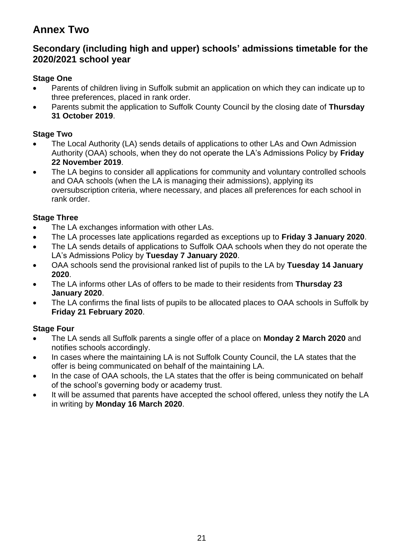# <span id="page-20-0"></span>**Annex Two**

# **Secondary (including high and upper) schools' admissions timetable for the 2020/2021 school year**

# **Stage One**

- Parents of children living in Suffolk submit an application on which they can indicate up to three preferences, placed in rank order.
- Parents submit the application to Suffolk County Council by the closing date of **Thursday 31 October 2019**.

# **Stage Two**

- The Local Authority (LA) sends details of applications to other LAs and Own Admission Authority (OAA) schools, when they do not operate the LA's Admissions Policy by **Friday 22 November 2019**.
- The LA begins to consider all applications for community and voluntary controlled schools and OAA schools (when the LA is managing their admissions), applying its oversubscription criteria, where necessary, and places all preferences for each school in rank order.

# **Stage Three**

- The LA exchanges information with other LAs.
- The LA processes late applications regarded as exceptions up to **Friday 3 January 2020**.
- The LA sends details of applications to Suffolk OAA schools when they do not operate the LA's Admissions Policy by **Tuesday 7 January 2020**.
- OAA schools send the provisional ranked list of pupils to the LA by **Tuesday 14 January 2020**.
- The LA informs other LAs of offers to be made to their residents from **Thursday 23 January 2020**.
- The LA confirms the final lists of pupils to be allocated places to OAA schools in Suffolk by **Friday 21 February 2020**.

# **Stage Four**

- The LA sends all Suffolk parents a single offer of a place on **Monday 2 March 2020** and notifies schools accordingly.
- In cases where the maintaining LA is not Suffolk County Council, the LA states that the offer is being communicated on behalf of the maintaining LA.
- In the case of OAA schools, the LA states that the offer is being communicated on behalf of the school's governing body or academy trust.
- It will be assumed that parents have accepted the school offered, unless they notify the LA in writing by **Monday 16 March 2020**.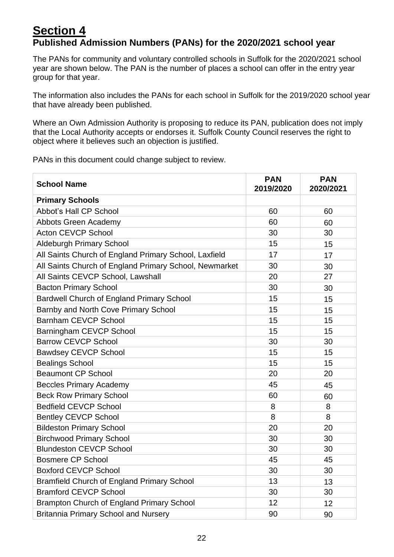# <span id="page-21-0"></span>**Section 4 Published Admission Numbers (PANs) for the 2020/2021 school year**

The PANs for community and voluntary controlled schools in Suffolk for the 2020/2021 school year are shown below. The PAN is the number of places a school can offer in the entry year group for that year.

The information also includes the PANs for each school in Suffolk for the 2019/2020 school year that have already been published.

Where an Own Admission Authority is proposing to reduce its PAN, publication does not imply that the Local Authority accepts or endorses it. Suffolk County Council reserves the right to object where it believes such an objection is justified.

PANs in this document could change subject to review.

| <b>School Name</b>                                     | <b>PAN</b><br>2019/2020 | <b>PAN</b><br>2020/2021 |
|--------------------------------------------------------|-------------------------|-------------------------|
| <b>Primary Schools</b>                                 |                         |                         |
| <b>Abbot's Hall CP School</b>                          | 60                      | 60                      |
| <b>Abbots Green Academy</b>                            | 60                      | 60                      |
| <b>Acton CEVCP School</b>                              | 30                      | 30                      |
| <b>Aldeburgh Primary School</b>                        | 15                      | 15                      |
| All Saints Church of England Primary School, Laxfield  | 17                      | 17                      |
| All Saints Church of England Primary School, Newmarket | 30                      | 30                      |
| All Saints CEVCP School, Lawshall                      | 20                      | 27                      |
| <b>Bacton Primary School</b>                           | 30                      | 30                      |
| <b>Bardwell Church of England Primary School</b>       | 15                      | 15                      |
| Barnby and North Cove Primary School                   | 15                      | 15                      |
| <b>Barnham CEVCP School</b>                            | 15                      | 15                      |
| Barningham CEVCP School                                | 15                      | 15                      |
| <b>Barrow CEVCP School</b>                             | 30                      | 30                      |
| <b>Bawdsey CEVCP School</b>                            | 15                      | 15                      |
| <b>Bealings School</b>                                 | 15                      | 15                      |
| <b>Beaumont CP School</b>                              | 20                      | 20                      |
| <b>Beccles Primary Academy</b>                         | 45                      | 45                      |
| <b>Beck Row Primary School</b>                         | 60                      | 60                      |
| <b>Bedfield CEVCP School</b>                           | 8                       | 8                       |
| <b>Bentley CEVCP School</b>                            | 8                       | 8                       |
| <b>Bildeston Primary School</b>                        | 20                      | 20                      |
| <b>Birchwood Primary School</b>                        | 30                      | 30                      |
| <b>Blundeston CEVCP School</b>                         | 30                      | 30                      |
| <b>Bosmere CP School</b>                               | 45                      | 45                      |
| <b>Boxford CEVCP School</b>                            | 30                      | 30                      |
| <b>Bramfield Church of England Primary School</b>      | 13                      | 13                      |
| <b>Bramford CEVCP School</b>                           | 30                      | 30                      |
| <b>Brampton Church of England Primary School</b>       | 12                      | 12 <sub>2</sub>         |
| <b>Britannia Primary School and Nursery</b>            | 90                      | 90                      |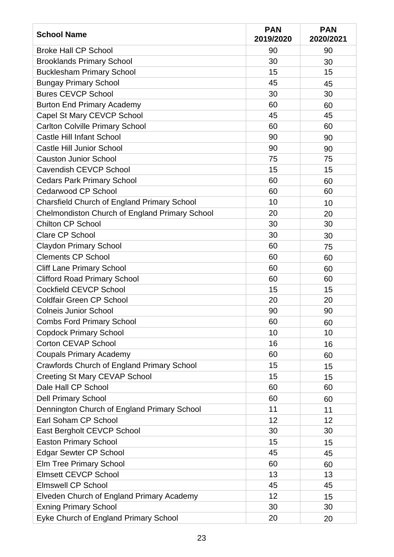| <b>School Name</b>                                 | <b>PAN</b><br>2019/2020 | <b>PAN</b><br>2020/2021 |
|----------------------------------------------------|-------------------------|-------------------------|
| <b>Broke Hall CP School</b>                        | 90                      | 90                      |
| <b>Brooklands Primary School</b>                   | 30                      | 30                      |
| <b>Bucklesham Primary School</b>                   | 15                      | 15                      |
| <b>Bungay Primary School</b>                       | 45                      | 45                      |
| <b>Bures CEVCP School</b>                          | 30                      | 30                      |
| <b>Burton End Primary Academy</b>                  | 60                      | 60                      |
| Capel St Mary CEVCP School                         | 45                      | 45                      |
| <b>Carlton Colville Primary School</b>             | 60                      | 60                      |
| <b>Castle Hill Infant School</b>                   | 90                      | 90                      |
| <b>Castle Hill Junior School</b>                   | 90                      | 90                      |
| <b>Causton Junior School</b>                       | 75                      | 75                      |
| <b>Cavendish CEVCP School</b>                      | 15                      | 15                      |
| <b>Cedars Park Primary School</b>                  | 60                      | 60                      |
| <b>Cedarwood CP School</b>                         | 60                      | 60                      |
| <b>Charsfield Church of England Primary School</b> | 10                      | 10                      |
| Chelmondiston Church of England Primary School     | 20                      | 20                      |
| <b>Chilton CP School</b>                           | 30                      | 30                      |
| <b>Clare CP School</b>                             | 30                      | 30                      |
| <b>Claydon Primary School</b>                      | 60                      | 75                      |
| <b>Clements CP School</b>                          | 60                      | 60                      |
| <b>Cliff Lane Primary School</b>                   | 60                      | 60                      |
| <b>Clifford Road Primary School</b>                | 60                      | 60                      |
| <b>Cockfield CEVCP School</b>                      | 15                      | 15                      |
| <b>Coldfair Green CP School</b>                    | 20                      | 20                      |
| <b>Colneis Junior School</b>                       | 90                      | 90                      |
| <b>Combs Ford Primary School</b>                   | 60                      | 60                      |
| <b>Copdock Primary School</b>                      | 10                      | 10                      |
| <b>Corton CEVAP School</b>                         | 16                      | 16                      |
| <b>Coupals Primary Academy</b>                     | 60                      | 60                      |
| Crawfords Church of England Primary School         | 15                      | 15                      |
| <b>Creeting St Mary CEVAP School</b>               | 15                      | 15                      |
| Dale Hall CP School                                | 60                      | 60                      |
| <b>Dell Primary School</b>                         | 60                      | 60                      |
| Dennington Church of England Primary School        | 11                      | 11                      |
| Earl Soham CP School                               | 12                      | 12                      |
| East Bergholt CEVCP School                         | 30                      | 30                      |
| <b>Easton Primary School</b>                       | 15                      | 15                      |
| <b>Edgar Sewter CP School</b>                      | 45                      | 45                      |
| <b>Elm Tree Primary School</b>                     | 60                      | 60                      |
| <b>Elmsett CEVCP School</b>                        | 13                      | 13                      |
| <b>Elmswell CP School</b>                          | 45                      | 45                      |
| Elveden Church of England Primary Academy          | 12                      | 15                      |
| <b>Exning Primary School</b>                       | 30                      | 30                      |
| Eyke Church of England Primary School              | 20                      | 20                      |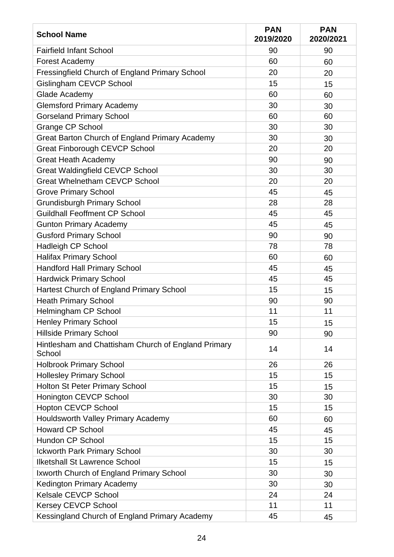| <b>School Name</b>                                            | <b>PAN</b><br>2019/2020 | <b>PAN</b><br>2020/2021 |
|---------------------------------------------------------------|-------------------------|-------------------------|
| <b>Fairfield Infant School</b>                                | 90                      | 90                      |
| <b>Forest Academy</b>                                         | 60                      | 60                      |
| Fressingfield Church of England Primary School                | 20                      | 20                      |
| Gislingham CEVCP School                                       | 15                      | 15                      |
| Glade Academy                                                 | 60                      | 60                      |
| <b>Glemsford Primary Academy</b>                              | 30                      | 30                      |
| <b>Gorseland Primary School</b>                               | 60                      | 60                      |
| <b>Grange CP School</b>                                       | 30                      | 30                      |
| Great Barton Church of England Primary Academy                | 30                      | 30                      |
| <b>Great Finborough CEVCP School</b>                          | 20                      | 20                      |
| <b>Great Heath Academy</b>                                    | 90                      | 90                      |
| <b>Great Waldingfield CEVCP School</b>                        | 30                      | 30                      |
| <b>Great Whelnetham CEVCP School</b>                          | 20                      | 20                      |
| <b>Grove Primary School</b>                                   | 45                      | 45                      |
| <b>Grundisburgh Primary School</b>                            | 28                      | 28                      |
| <b>Guildhall Feoffment CP School</b>                          | 45                      | 45                      |
| <b>Gunton Primary Academy</b>                                 | 45                      | 45                      |
| <b>Gusford Primary School</b>                                 | 90                      | 90                      |
| <b>Hadleigh CP School</b>                                     | 78                      | 78                      |
| <b>Halifax Primary School</b>                                 | 60                      | 60                      |
| <b>Handford Hall Primary School</b>                           | 45                      | 45                      |
| <b>Hardwick Primary School</b>                                | 45                      | 45                      |
| Hartest Church of England Primary School                      | 15                      | 15                      |
| <b>Heath Primary School</b>                                   | 90                      | 90                      |
| Helmingham CP School                                          | 11                      | 11                      |
| <b>Henley Primary School</b>                                  | 15                      | 15                      |
| <b>Hillside Primary School</b>                                | 90                      | 90                      |
| Hintlesham and Chattisham Church of England Primary<br>School | 14                      | 14                      |
| <b>Holbrook Primary School</b>                                | 26                      | 26                      |
| <b>Hollesley Primary School</b>                               | 15                      | 15                      |
| Holton St Peter Primary School                                | 15                      | 15                      |
| Honington CEVCP School                                        | 30                      | 30                      |
| <b>Hopton CEVCP School</b>                                    | 15                      | 15                      |
| Houldsworth Valley Primary Academy                            | 60                      | 60                      |
| <b>Howard CP School</b>                                       | 45                      | 45                      |
| <b>Hundon CP School</b>                                       | 15                      | 15                      |
| <b>Ickworth Park Primary School</b>                           | 30                      | 30                      |
| <b>Ilketshall St Lawrence School</b>                          | 15                      | 15                      |
| Ixworth Church of England Primary School                      | 30                      | 30                      |
| Kedington Primary Academy                                     | 30                      | 30                      |
| <b>Kelsale CEVCP School</b>                                   | 24                      | 24                      |
| <b>Kersey CEVCP School</b>                                    | 11                      | 11                      |
| Kessingland Church of England Primary Academy                 | 45                      | 45                      |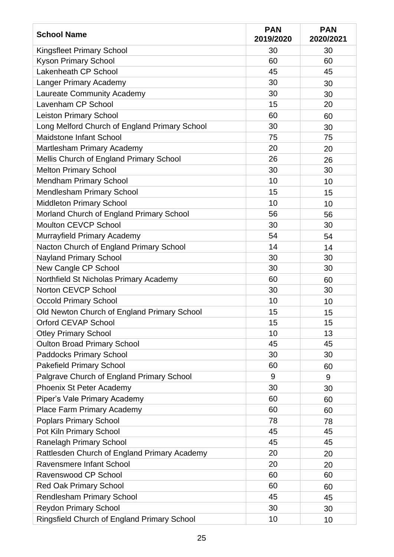| <b>School Name</b>                                 | <b>PAN</b><br>2019/2020 | <b>PAN</b><br>2020/2021 |
|----------------------------------------------------|-------------------------|-------------------------|
| <b>Kingsfleet Primary School</b>                   | 30                      | 30                      |
| <b>Kyson Primary School</b>                        | 60                      | 60                      |
| Lakenheath CP School                               | 45                      | 45                      |
| <b>Langer Primary Academy</b>                      | 30                      | 30                      |
| Laureate Community Academy                         | 30                      | 30                      |
| Lavenham CP School                                 | 15                      | 20                      |
| <b>Leiston Primary School</b>                      | 60                      | 60                      |
| Long Melford Church of England Primary School      | 30                      | 30                      |
| <b>Maidstone Infant School</b>                     | 75                      | 75                      |
| Martlesham Primary Academy                         | 20                      | 20                      |
| Mellis Church of England Primary School            | 26                      | 26                      |
| <b>Melton Primary School</b>                       | 30                      | 30                      |
| <b>Mendham Primary School</b>                      | 10                      | 10                      |
| <b>Mendlesham Primary School</b>                   | 15                      | 15                      |
| <b>Middleton Primary School</b>                    | 10                      | 10                      |
| Morland Church of England Primary School           | 56                      | 56                      |
| <b>Moulton CEVCP School</b>                        | 30                      | 30                      |
| Murrayfield Primary Academy                        | 54                      | 54                      |
| Nacton Church of England Primary School            | 14                      | 14                      |
| <b>Nayland Primary School</b>                      | 30                      | 30                      |
| New Cangle CP School                               | 30                      | 30                      |
| Northfield St Nicholas Primary Academy             | 60                      | 60                      |
| <b>Norton CEVCP School</b>                         | 30                      | 30                      |
| <b>Occold Primary School</b>                       | 10                      | 10                      |
| Old Newton Church of England Primary School        | 15                      | 15                      |
| Orford CEVAP School                                | 15                      | 15                      |
| <b>Otley Primary School</b>                        | 10                      | 13                      |
| <b>Oulton Broad Primary School</b>                 | 45                      | 45                      |
| <b>Paddocks Primary School</b>                     | 30                      | 30                      |
| <b>Pakefield Primary School</b>                    | 60                      | 60                      |
| Palgrave Church of England Primary School          | 9                       | 9                       |
| Phoenix St Peter Academy                           | 30                      | 30                      |
| Piper's Vale Primary Academy                       | 60                      | 60                      |
| Place Farm Primary Academy                         | 60                      | 60                      |
| <b>Poplars Primary School</b>                      | 78                      | 78                      |
| Pot Kiln Primary School                            | 45                      | 45                      |
| <b>Ranelagh Primary School</b>                     | 45                      | 45                      |
| Rattlesden Church of England Primary Academy       | 20                      | 20                      |
| <b>Ravensmere Infant School</b>                    | 20                      | 20                      |
| Ravenswood CP School                               | 60                      | 60                      |
| <b>Red Oak Primary School</b>                      | 60                      | 60                      |
| <b>Rendlesham Primary School</b>                   | 45                      | 45                      |
| <b>Reydon Primary School</b>                       | 30                      | 30                      |
| <b>Ringsfield Church of England Primary School</b> | 10                      | 10                      |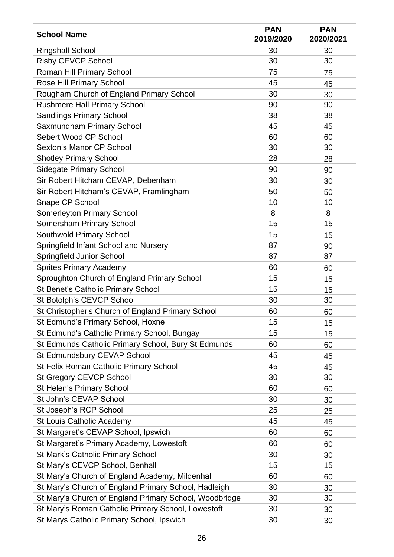| <b>School Name</b>                                     | <b>PAN</b><br>2019/2020 | <b>PAN</b><br>2020/2021 |
|--------------------------------------------------------|-------------------------|-------------------------|
| <b>Ringshall School</b>                                | 30                      | 30                      |
| <b>Risby CEVCP School</b>                              | 30                      | 30                      |
| <b>Roman Hill Primary School</b>                       | 75                      | 75                      |
| Rose Hill Primary School                               | 45                      | 45                      |
| Rougham Church of England Primary School               | 30                      | 30                      |
| <b>Rushmere Hall Primary School</b>                    | 90                      | 90                      |
| <b>Sandlings Primary School</b>                        | 38                      | 38                      |
| Saxmundham Primary School                              | 45                      | 45                      |
| Sebert Wood CP School                                  | 60                      | 60                      |
| Sexton's Manor CP School                               | 30                      | 30                      |
| <b>Shotley Primary School</b>                          | 28                      | 28                      |
| <b>Sidegate Primary School</b>                         | 90                      | 90                      |
| Sir Robert Hitcham CEVAP, Debenham                     | 30                      | 30                      |
| Sir Robert Hitcham's CEVAP, Framlingham                | 50                      | 50                      |
| Snape CP School                                        | 10                      | 10                      |
| <b>Somerleyton Primary School</b>                      | 8                       | 8                       |
| <b>Somersham Primary School</b>                        | 15                      | 15                      |
| Southwold Primary School                               | 15                      | 15                      |
| Springfield Infant School and Nursery                  | 87                      | 90                      |
| <b>Springfield Junior School</b>                       | 87                      | 87                      |
| <b>Sprites Primary Academy</b>                         | 60                      | 60                      |
| Sproughton Church of England Primary School            | 15                      | 15                      |
| St Benet's Catholic Primary School                     | 15                      | 15                      |
| St Botolph's CEVCP School                              | 30                      | 30                      |
| St Christopher's Church of England Primary School      | 60                      | 60                      |
| St Edmund's Primary School, Hoxne                      | 15                      | 15                      |
| St Edmund's Catholic Primary School, Bungay            | 15                      | 15                      |
| St Edmunds Catholic Primary School, Bury St Edmunds    | 60                      | 60                      |
| St Edmundsbury CEVAP School                            | 45                      | 45                      |
| St Felix Roman Catholic Primary School                 | 45                      | 45                      |
| <b>St Gregory CEVCP School</b>                         | 30                      | 30                      |
| St Helen's Primary School                              | 60                      | 60                      |
| St John's CEVAP School                                 | 30                      | 30                      |
| St Joseph's RCP School                                 | 25                      | 25                      |
| <b>St Louis Catholic Academy</b>                       | 45                      | 45                      |
| St Margaret's CEVAP School, Ipswich                    | 60                      | 60                      |
| St Margaret's Primary Academy, Lowestoft               | 60                      | 60                      |
| St Mark's Catholic Primary School                      | 30                      | 30                      |
| St Mary's CEVCP School, Benhall                        | 15                      | 15                      |
| St Mary's Church of England Academy, Mildenhall        | 60                      | 60                      |
| St Mary's Church of England Primary School, Hadleigh   | 30                      | 30                      |
| St Mary's Church of England Primary School, Woodbridge | 30                      | 30                      |
| St Mary's Roman Catholic Primary School, Lowestoft     | 30                      | 30                      |
| St Marys Catholic Primary School, Ipswich              | 30                      | 30                      |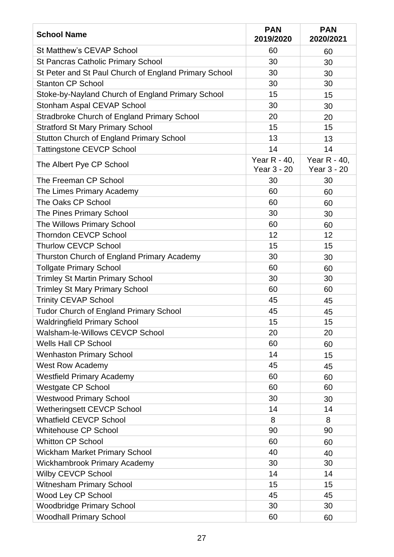| <b>School Name</b>                                    | <b>PAN</b><br>2019/2020     | <b>PAN</b><br>2020/2021     |
|-------------------------------------------------------|-----------------------------|-----------------------------|
| <b>St Matthew's CEVAP School</b>                      | 60                          | 60                          |
| <b>St Pancras Catholic Primary School</b>             | 30                          | 30                          |
| St Peter and St Paul Church of England Primary School | 30                          | 30                          |
| <b>Stanton CP School</b>                              | 30                          | 30                          |
| Stoke-by-Nayland Church of England Primary School     | 15                          | 15                          |
| <b>Stonham Aspal CEVAP School</b>                     | 30                          | 30                          |
| <b>Stradbroke Church of England Primary School</b>    | 20                          | 20                          |
| <b>Stratford St Mary Primary School</b>               | 15                          | 15                          |
| <b>Stutton Church of England Primary School</b>       | 13                          | 13                          |
| <b>Tattingstone CEVCP School</b>                      | 14                          | 14                          |
| The Albert Pye CP School                              | Year R - 40,<br>Year 3 - 20 | Year R - 40,<br>Year 3 - 20 |
| The Freeman CP School                                 | 30                          | 30                          |
| The Limes Primary Academy                             | 60                          | 60                          |
| The Oaks CP School                                    | 60                          | 60                          |
| The Pines Primary School                              | 30                          | 30                          |
| The Willows Primary School                            | 60                          | 60                          |
| <b>Thorndon CEVCP School</b>                          | 12                          | 12                          |
| <b>Thurlow CEVCP School</b>                           | 15                          | 15                          |
| Thurston Church of England Primary Academy            | 30                          | 30                          |
| <b>Tollgate Primary School</b>                        | 60                          | 60                          |
| <b>Trimley St Martin Primary School</b>               | 30                          | 30                          |
| <b>Trimley St Mary Primary School</b>                 | 60                          | 60                          |
| <b>Trinity CEVAP School</b>                           | 45                          | 45                          |
| <b>Tudor Church of England Primary School</b>         | 45                          | 45                          |
| <b>Waldringfield Primary School</b>                   | 15                          | 15                          |
| Walsham-le-Willows CEVCP School                       | 20                          | 20                          |
| <b>Wells Hall CP School</b>                           | 60                          | 60                          |
| <b>Wenhaston Primary School</b>                       | 14                          | 15                          |
| <b>West Row Academy</b>                               | 45                          | 45                          |
| <b>Westfield Primary Academy</b>                      | 60                          | 60                          |
| <b>Westgate CP School</b>                             | 60                          | 60                          |
| <b>Westwood Primary School</b>                        | 30                          | 30                          |
| <b>Wetheringsett CEVCP School</b>                     | 14                          | 14                          |
| <b>Whatfield CEVCP School</b>                         | 8                           | 8                           |
| <b>Whitehouse CP School</b>                           | 90                          | 90                          |
| <b>Whitton CP School</b>                              | 60                          | 60                          |
| <b>Wickham Market Primary School</b>                  | 40                          | 40                          |
| <b>Wickhambrook Primary Academy</b>                   | 30                          | 30                          |
| Wilby CEVCP School                                    | 14                          | 14                          |
| <b>Witnesham Primary School</b>                       | 15                          | 15                          |
| Wood Ley CP School                                    | 45                          | 45                          |
| <b>Woodbridge Primary School</b>                      | 30                          | 30                          |
| <b>Woodhall Primary School</b>                        | 60                          | 60                          |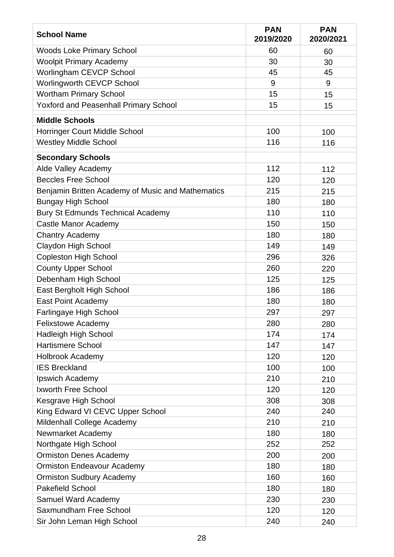| <b>School Name</b>                                | <b>PAN</b><br>2019/2020 | <b>PAN</b><br>2020/2021 |
|---------------------------------------------------|-------------------------|-------------------------|
| <b>Woods Loke Primary School</b>                  | 60                      | 60                      |
| <b>Woolpit Primary Academy</b>                    | 30                      | 30                      |
| Worlingham CEVCP School                           | 45                      | 45                      |
| Worlingworth CEVCP School                         | 9                       | 9                       |
| <b>Wortham Primary School</b>                     | 15                      | 15                      |
| <b>Yoxford and Peasenhall Primary School</b>      | 15                      | 15                      |
| <b>Middle Schools</b>                             |                         |                         |
| <b>Horringer Court Middle School</b>              | 100                     | 100                     |
| <b>Westley Middle School</b>                      | 116                     | 116                     |
| <b>Secondary Schools</b>                          |                         |                         |
| <b>Alde Valley Academy</b>                        | 112                     | 112                     |
| <b>Beccles Free School</b>                        | 120                     | 120                     |
| Benjamin Britten Academy of Music and Mathematics | 215                     | 215                     |
| <b>Bungay High School</b>                         | 180                     | 180                     |
| <b>Bury St Edmunds Technical Academy</b>          | 110                     | 110                     |
| <b>Castle Manor Academy</b>                       | 150                     | 150                     |
| <b>Chantry Academy</b>                            | 180                     | 180                     |
| <b>Claydon High School</b>                        | 149                     | 149                     |
| <b>Copleston High School</b>                      | 296                     | 326                     |
| <b>County Upper School</b>                        | 260                     | 220                     |
| Debenham High School                              | 125                     | 125                     |
| East Bergholt High School                         | 186                     | 186                     |
| East Point Academy                                | 180                     | 180                     |
| Farlingaye High School                            | 297                     | 297                     |
| <b>Felixstowe Academy</b>                         | 280                     | 280                     |
| <b>Hadleigh High School</b>                       | 174                     | 174                     |
| <b>Hartismere School</b>                          | 147                     | 147                     |
| <b>Holbrook Academy</b>                           | 120                     | 120                     |
| <b>IES Breckland</b>                              | 100                     | 100                     |
| Ipswich Academy                                   | 210                     | 210                     |
| <b>Ixworth Free School</b>                        | 120                     | 120                     |
| Kesgrave High School                              | 308                     | 308                     |
| King Edward VI CEVC Upper School                  | 240                     | 240                     |
| Mildenhall College Academy                        | 210                     | 210                     |
| Newmarket Academy                                 | 180                     | 180                     |
| Northgate High School                             | 252                     | 252                     |
| <b>Ormiston Denes Academy</b>                     | 200                     | 200                     |
| <b>Ormiston Endeavour Academy</b>                 | 180                     | 180                     |
| <b>Ormiston Sudbury Academy</b>                   | 160                     | 160                     |
| <b>Pakefield School</b>                           | 180                     | 180                     |
| <b>Samuel Ward Academy</b>                        | 230                     | 230                     |
| <b>Saxmundham Free School</b>                     | 120                     | 120                     |
| Sir John Leman High School                        | 240                     | 240                     |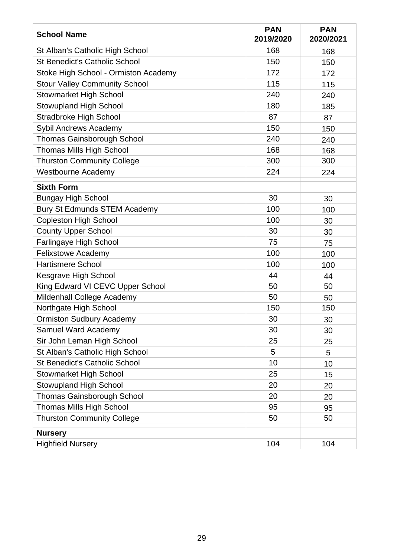| <b>School Name</b>                   | <b>PAN</b><br>2019/2020 | <b>PAN</b><br>2020/2021 |
|--------------------------------------|-------------------------|-------------------------|
| St Alban's Catholic High School      | 168                     | 168                     |
| <b>St Benedict's Catholic School</b> | 150                     | 150                     |
| Stoke High School - Ormiston Academy | 172                     | 172                     |
| <b>Stour Valley Community School</b> | 115                     | 115                     |
| <b>Stowmarket High School</b>        | 240                     | 240                     |
| <b>Stowupland High School</b>        | 180                     | 185                     |
| <b>Stradbroke High School</b>        | 87                      | 87                      |
| Sybil Andrews Academy                | 150                     | 150                     |
| <b>Thomas Gainsborough School</b>    | 240                     | 240                     |
| <b>Thomas Mills High School</b>      | 168                     | 168                     |
| <b>Thurston Community College</b>    | 300                     | 300                     |
| <b>Westbourne Academy</b>            | 224                     | 224                     |
| <b>Sixth Form</b>                    |                         |                         |
| <b>Bungay High School</b>            | 30                      | 30                      |
| <b>Bury St Edmunds STEM Academy</b>  | 100                     | 100                     |
| <b>Copleston High School</b>         | 100                     | 30                      |
| <b>County Upper School</b>           | 30                      | 30                      |
| Farlingaye High School               | 75                      | 75                      |
| <b>Felixstowe Academy</b>            | 100                     | 100                     |
| <b>Hartismere School</b>             | 100                     | 100                     |
| Kesgrave High School                 | 44                      | 44                      |
| King Edward VI CEVC Upper School     | 50                      | 50                      |
| Mildenhall College Academy           | 50                      | 50                      |
| Northgate High School                | 150                     | 150                     |
| <b>Ormiston Sudbury Academy</b>      | 30                      | 30                      |
| Samuel Ward Academy                  | 30                      | 30                      |
| Sir John Leman High School           | 25                      | 25                      |
| St Alban's Catholic High School      | 5                       | 5                       |
| <b>St Benedict's Catholic School</b> | 10                      | 10                      |
| <b>Stowmarket High School</b>        | 25                      | 15                      |
| <b>Stowupland High School</b>        | 20                      | 20                      |
| <b>Thomas Gainsborough School</b>    | 20                      | 20                      |
| <b>Thomas Mills High School</b>      | 95                      | 95                      |
| <b>Thurston Community College</b>    | 50                      | 50                      |
| <b>Nursery</b>                       |                         |                         |
| <b>Highfield Nursery</b>             | 104                     | 104                     |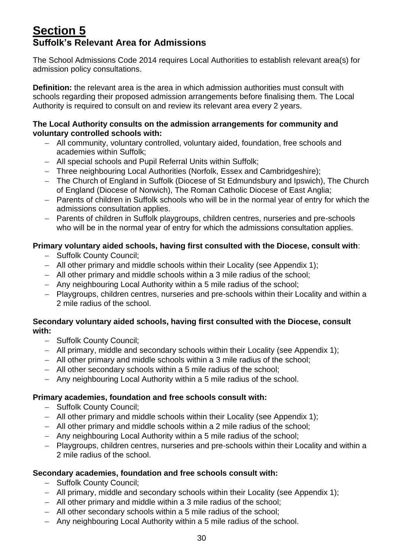# <span id="page-29-0"></span>**Section 5 Suffolk's Relevant Area for Admissions**

The School Admissions Code 2014 requires Local Authorities to establish relevant area(s) for admission policy consultations.

**Definition:** the relevant area is the area in which admission authorities must consult with schools regarding their proposed admission arrangements before finalising them. The Local Authority is required to consult on and review its relevant area every 2 years.

### **The Local Authority consults on the admission arrangements for community and voluntary controlled schools with:**

- − All community, voluntary controlled, voluntary aided, foundation, free schools and academies within Suffolk;
- − All special schools and Pupil Referral Units within Suffolk;
- − Three neighbouring Local Authorities (Norfolk, Essex and Cambridgeshire);
- − The Church of England in Suffolk (Diocese of St Edmundsbury and Ipswich), The Church of England (Diocese of Norwich), The Roman Catholic Diocese of East Anglia;
- − Parents of children in Suffolk schools who will be in the normal year of entry for which the admissions consultation applies.
- − Parents of children in Suffolk playgroups, children centres, nurseries and pre-schools who will be in the normal year of entry for which the admissions consultation applies.

# **Primary voluntary aided schools, having first consulted with the Diocese, consult with**:

- − Suffolk County Council;
- − All other primary and middle schools within their Locality (see Appendix 1);
- − All other primary and middle schools within a 3 mile radius of the school;
- − Any neighbouring Local Authority within a 5 mile radius of the school;
- − Playgroups, children centres, nurseries and pre-schools within their Locality and within a 2 mile radius of the school.

### **Secondary voluntary aided schools, having first consulted with the Diocese, consult with:**

- − Suffolk County Council;
- − All primary, middle and secondary schools within their Locality (see Appendix 1);
- − All other primary and middle schools within a 3 mile radius of the school;
- − All other secondary schools within a 5 mile radius of the school;
- − Any neighbouring Local Authority within a 5 mile radius of the school.

# **Primary academies, foundation and free schools consult with:**

- − Suffolk County Council;
- − All other primary and middle schools within their Locality (see Appendix 1);
- − All other primary and middle schools within a 2 mile radius of the school;
- − Any neighbouring Local Authority within a 5 mile radius of the school;
- − Playgroups, children centres, nurseries and pre-schools within their Locality and within a 2 mile radius of the school.

# **Secondary academies, foundation and free schools consult with:**

- − Suffolk County Council;
- − All primary, middle and secondary schools within their Locality (see Appendix 1);
- − All other primary and middle within a 3 mile radius of the school;
- − All other secondary schools within a 5 mile radius of the school;
- − Any neighbouring Local Authority within a 5 mile radius of the school.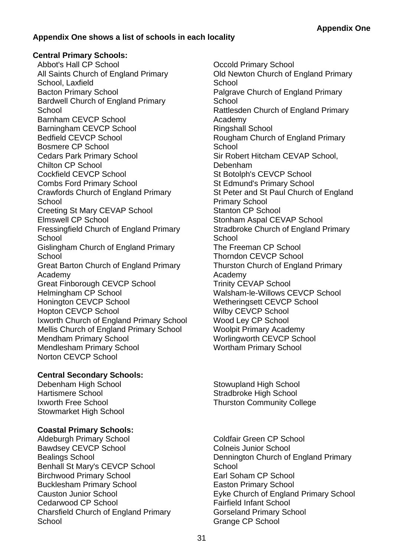# **Appendix One shows a list of schools in each locality**

### **Central Primary Schools:**

Abbot's Hall CP School All Saints Church of England Primary School, Laxfield Bacton Primary School Bardwell Church of England Primary **School** Barnham CEVCP School Barningham CEVCP School Bedfield CEVCP School Bosmere CP School Cedars Park Primary School Chilton CP School Cockfield CEVCP School Combs Ford Primary School Crawfords Church of England Primary **School** Creeting St Mary CEVAP School Elmswell CP School Fressingfield Church of England Primary **School** Gislingham Church of England Primary **School** Great Barton Church of England Primary Academy Great Finborough CEVCP School Helmingham CP School Honington CEVCP School Hopton CEVCP School Ixworth Church of England Primary School Mellis Church of England Primary School Mendham Primary School Mendlesham Primary School Norton CEVCP School

### **Central Secondary Schools:**

Debenham High School Hartismere School Ixworth Free School Stowmarket High School

### **Coastal Primary Schools:**

Aldeburgh Primary School Bawdsey CEVCP School Bealings School Benhall St Mary's CEVCP School Birchwood Primary School Bucklesham Primary School Causton Junior School Cedarwood CP School Charsfield Church of England Primary **School** 

Occold Primary School Old Newton Church of England Primary **School** Palgrave Church of England Primary **School** Rattlesden Church of England Primary Academy Ringshall School Rougham Church of England Primary School Sir Robert Hitcham CEVAP School, Debenham St Botolph's CEVCP School St Edmund's Primary School St Peter and St Paul Church of England Primary School Stanton CP School Stonham Aspal CEVAP School Stradbroke Church of England Primary **School** The Freeman CP School Thorndon CEVCP School Thurston Church of England Primary Academy Trinity CEVAP School Walsham-le-Willows CEVCP School Wetheringsett CEVCP School Wilby CEVCP School Wood Ley CP School Woolpit Primary Academy Worlingworth CEVCP School Wortham Primary School

Stowupland High School Stradbroke High School Thurston Community College

Coldfair Green CP School Colneis Junior School Dennington Church of England Primary **School** Earl Soham CP School Easton Primary School Eyke Church of England Primary School Fairfield Infant School Gorseland Primary School Grange CP School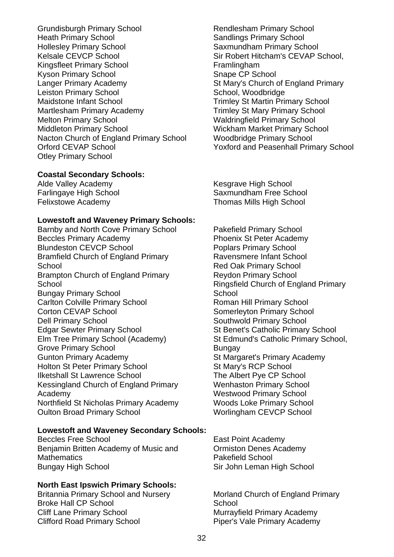Grundisburgh Primary School Heath Primary School Hollesley Primary School Kelsale CEVCP School Kingsfleet Primary School Kyson Primary School Langer Primary Academy Leiston Primary School Maidstone Infant School Martlesham Primary Academy Melton Primary School Middleton Primary School Nacton Church of England Primary School Orford CEVAP School Otley Primary School

### **Coastal Secondary Schools:**

Alde Valley Academy Farlingaye High School Felixstowe Academy

### **Lowestoft and Waveney Primary Schools:**

Barnby and North Cove Primary School Beccles Primary Academy Blundeston CEVCP School Bramfield Church of England Primary **School** Brampton Church of England Primary **School** Bungay Primary School Carlton Colville Primary School Corton CEVAP School Dell Primary School Edgar Sewter Primary School Elm Tree Primary School (Academy) Grove Primary School Gunton Primary Academy Holton St Peter Primary School Ilketshall St Lawrence School Kessingland Church of England Primary Academy Northfield St Nicholas Primary Academy Oulton Broad Primary School

### **Lowestoft and Waveney Secondary Schools:**

Beccles Free School Benjamin Britten Academy of Music and **Mathematics** Bungay High School

### **North East Ipswich Primary Schools:**

Britannia Primary School and Nursery Broke Hall CP School Cliff Lane Primary School Clifford Road Primary School

Rendlesham Primary School Sandlings Primary School Saxmundham Primary School Sir Robert Hitcham's CEVAP School, **Framlingham** Snape CP School St Mary's Church of England Primary School, Woodbridge Trimley St Martin Primary School Trimley St Mary Primary School Waldringfield Primary School Wickham Market Primary School Woodbridge Primary School Yoxford and Peasenhall Primary School

Kesgrave High School Saxmundham Free School Thomas Mills High School

Pakefield Primary School Phoenix St Peter Academy Poplars Primary School Ravensmere Infant School Red Oak Primary School Reydon Primary School Ringsfield Church of England Primary **School** Roman Hill Primary School Somerleyton Primary School Southwold Primary School St Benet's Catholic Primary School St Edmund's Catholic Primary School, **Bungay** St Margaret's Primary Academy St Mary's RCP School The Albert Pye CP School Wenhaston Primary School Westwood Primary School Woods Loke Primary School Worlingham CEVCP School

East Point Academy Ormiston Denes Academy Pakefield School Sir John Leman High School

Morland Church of England Primary **School** Murrayfield Primary Academy Piper's Vale Primary Academy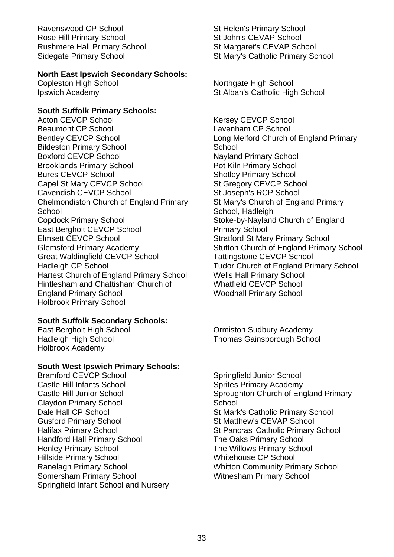Ravenswood CP School Rose Hill Primary School Rushmere Hall Primary School Sidegate Primary School

### **North East Ipswich Secondary Schools:**

Copleston High School Ipswich Academy

### **South Suffolk Primary Schools:**

Acton CEVCP School Beaumont CP School Bentley CEVCP School Bildeston Primary School Boxford CEVCP School Brooklands Primary School Bures CEVCP School Capel St Mary CEVCP School Cavendish CEVCP School Chelmondiston Church of England Primary **School** Copdock Primary School East Bergholt CEVCP School Elmsett CEVCP School Glemsford Primary Academy Great Waldingfield CEVCP School Hadleigh CP School Hartest Church of England Primary School Hintlesham and Chattisham Church of England Primary School Holbrook Primary School

### **South Suffolk Secondary Schools:**

East Bergholt High School Hadleigh High School Holbrook Academy

### **South West Ipswich Primary Schools:**

Bramford CEVCP School Castle Hill Infants School Castle Hill Junior School Claydon Primary School Dale Hall CP School Gusford Primary School Halifax Primary School Handford Hall Primary School Henley Primary School Hillside Primary School Ranelagh Primary School Somersham Primary School Springfield Infant School and Nursery St Helen's Primary School St John's CEVAP School St Margaret's CEVAP School St Mary's Catholic Primary School

Northgate High School St Alban's Catholic High School

Kersey CEVCP School Lavenham CP School Long Melford Church of England Primary **School** Nayland Primary School Pot Kiln Primary School Shotley Primary School St Gregory CEVCP School St Joseph's RCP School St Mary's Church of England Primary School, Hadleigh Stoke-by-Nayland Church of England Primary School Stratford St Mary Primary School Stutton Church of England Primary School Tattingstone CEVCP School Tudor Church of England Primary School Wells Hall Primary School Whatfield CEVCP School Woodhall Primary School

Ormiston Sudbury Academy Thomas Gainsborough School

Springfield Junior School Sprites Primary Academy Sproughton Church of England Primary School St Mark's Catholic Primary School St Matthew's CEVAP School St Pancras' Catholic Primary School The Oaks Primary School The Willows Primary School Whitehouse CP School Whitton Community Primary School Witnesham Primary School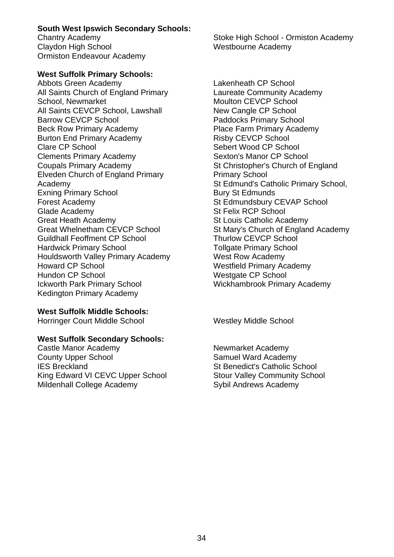# **South West Ipswich Secondary Schools:**

Chantry Academy Claydon High School Ormiston Endeavour Academy

# **West Suffolk Primary Schools:**

Abbots Green Academy All Saints Church of England Primary School, Newmarket All Saints CEVCP School, Lawshall Barrow CEVCP School Beck Row Primary Academy Burton End Primary Academy Clare CP School Clements Primary Academy Coupals Primary Academy Elveden Church of England Primary Academy Exning Primary School Forest Academy Glade Academy Great Heath Academy Great Whelnetham CEVCP School Guildhall Feoffment CP School Hardwick Primary School Houldsworth Valley Primary Academy Howard CP School Hundon CP School Ickworth Park Primary School Kedington Primary Academy

**West Suffolk Middle Schools:**

Horringer Court Middle School Westley Middle School

# **West Suffolk Secondary Schools:**

Castle Manor Academy County Upper School IES Breckland King Edward VI CEVC Upper School Mildenhall College Academy

Stoke High School - Ormiston Academy Westbourne Academy

Lakenheath CP School Laureate Community Academy Moulton CEVCP School New Cangle CP School Paddocks Primary School Place Farm Primary Academy Risby CEVCP School Sebert Wood CP School Sexton's Manor CP School St Christopher's Church of England Primary School St Edmund's Catholic Primary School, Bury St Edmunds St Edmundsbury CEVAP School St Felix RCP School St Louis Catholic Academy St Mary's Church of England Academy Thurlow CEVCP School Tollgate Primary School West Row Academy Westfield Primary Academy Westgate CP School Wickhambrook Primary Academy

Newmarket Academy Samuel Ward Academy St Benedict's Catholic School Stour Valley Community School Sybil Andrews Academy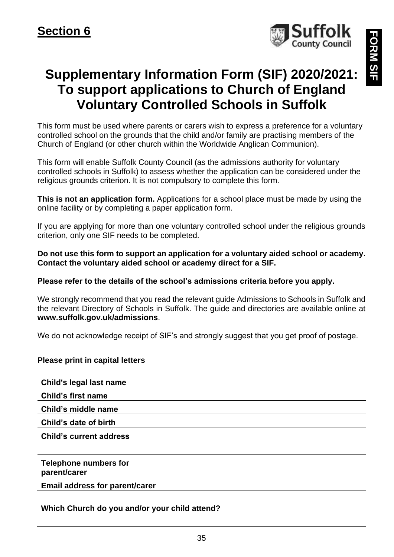

**FORM SIF ORM SIF** 

# <span id="page-34-0"></span>**Supplementary Information Form (SIF) 2020/2021: To support applications to Church of England Voluntary Controlled Schools in Suffolk**

This form must be used where parents or carers wish to express a preference for a voluntary controlled school on the grounds that the child and/or family are practising members of the Church of England (or other church within the Worldwide Anglican Communion).

This form will enable Suffolk County Council (as the admissions authority for voluntary controlled schools in Suffolk) to assess whether the application can be considered under the religious grounds criterion. It is not compulsory to complete this form.

**This is not an application form.** Applications for a school place must be made by using the online facility or by completing a paper application form.

If you are applying for more than one voluntary controlled school under the religious grounds criterion, only one SIF needs to be completed.

**Do not use this form to support an application for a voluntary aided school or academy. Contact the voluntary aided school or academy direct for a SIF.**

### **Please refer to the details of the school's admissions criteria before you apply.**

We strongly recommend that you read the relevant guide Admissions to Schools in Suffolk and the relevant Directory of Schools in Suffolk. The guide and directories are available online at **www.suffolk.gov.uk/admissions**.

We do not acknowledge receipt of SIF's and strongly suggest that you get proof of postage.

### **Please print in capital letters**

**Child's legal last name Child's first name Child's middle name Child's date of birth Child's current address Telephone numbers for** 

**parent/carer**

**Email address for parent/carer**

### **Which Church do you and/or your child attend?**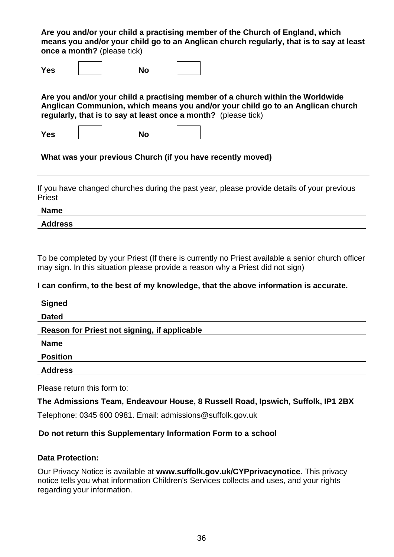**Are you and/or your child a practising member of the Church of England, which means you and/or your child go to an Anglican church regularly, that is to say at least once a month?** (please tick)

**Yes No**

**Are you and/or your child a practising member of a church within the Worldwide Anglican Communion, which means you and/or your child go to an Anglican church regularly, that is to say at least once a month?** (please tick)

**Yes No**

**What was your previous Church (if you have recently moved)**

If you have changed churches during the past year, please provide details of your previous Priest

**Name**

**Address**

To be completed by your Priest (If there is currently no Priest available a senior church officer may sign. In this situation please provide a reason why a Priest did not sign)

**I can confirm, to the best of my knowledge, that the above information is accurate.**

| <b>Signed</b>                                |
|----------------------------------------------|
| <b>Dated</b>                                 |
| Reason for Priest not signing, if applicable |
| <b>Name</b>                                  |
| <b>Position</b>                              |
| <b>Address</b>                               |

Please return this form to:

**The Admissions Team, Endeavour House, 8 Russell Road, Ipswich, Suffolk, IP1 2BX**

Telephone: 0345 600 0981. Email: admissions@suffolk.gov.uk

### **Do not return this Supplementary Information Form to a school**

### **Data Protection:**

Our Privacy Notice is available at **[www.suffolk.gov.uk/CYPprivacynotice](http://www.suffolk.gov.uk/CYPprivacynotice)**. This privacy notice tells you what information Children's Services collects and uses, and your rights regarding your information.